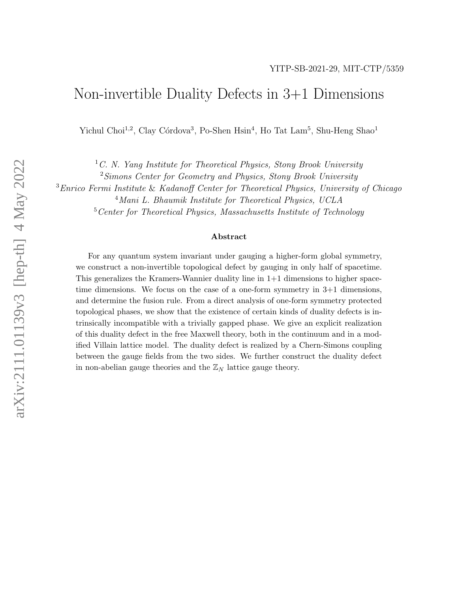## Non-invertible Duality Defects in 3+1 Dimensions

Yichul Choi<sup>1,2</sup>, Clay Córdova<sup>3</sup>, Po-Shen Hsin<sup>4</sup>, Ho Tat Lam<sup>5</sup>, Shu-Heng Shao<sup>1</sup>

<sup>1</sup>C. N. Yang Institute for Theoretical Physics, Stony Brook University

<sup>2</sup>Simons Center for Geometry and Physics, Stony Brook University

<sup>3</sup>Enrico Fermi Institute & Kadanoff Center for Theoretical Physics, University of Chicago

<sup>4</sup>Mani L. Bhaumik Institute for Theoretical Physics, UCLA

<sup>5</sup> Center for Theoretical Physics, Massachusetts Institute of Technology

#### Abstract

For any quantum system invariant under gauging a higher-form global symmetry, we construct a non-invertible topological defect by gauging in only half of spacetime. This generalizes the Kramers-Wannier duality line in 1+1 dimensions to higher spacetime dimensions. We focus on the case of a one-form symmetry in 3+1 dimensions, and determine the fusion rule. From a direct analysis of one-form symmetry protected topological phases, we show that the existence of certain kinds of duality defects is intrinsically incompatible with a trivially gapped phase. We give an explicit realization of this duality defect in the free Maxwell theory, both in the continuum and in a modified Villain lattice model. The duality defect is realized by a Chern-Simons coupling between the gauge fields from the two sides. We further construct the duality defect in non-abelian gauge theories and the  $\mathbb{Z}_N$  lattice gauge theory.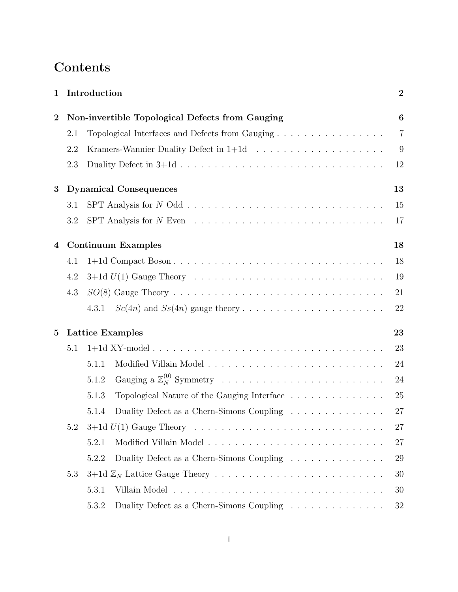# Contents

| $\mathbf 1$      | Introduction                                    | $\overline{2}$                                                                                            |                |  |  |
|------------------|-------------------------------------------------|-----------------------------------------------------------------------------------------------------------|----------------|--|--|
| $\boldsymbol{2}$ | Non-invertible Topological Defects from Gauging |                                                                                                           |                |  |  |
|                  | 2.1                                             | Topological Interfaces and Defects from Gauging                                                           | $\overline{7}$ |  |  |
|                  | 2.2                                             |                                                                                                           | 9              |  |  |
|                  | 2.3                                             |                                                                                                           | 12             |  |  |
| 3                |                                                 | <b>Dynamical Consequences</b>                                                                             | 13             |  |  |
|                  | 3.1                                             |                                                                                                           | 15             |  |  |
|                  | 3.2                                             |                                                                                                           | 17             |  |  |
| 4                |                                                 | <b>Continuum Examples</b>                                                                                 | 18             |  |  |
|                  | 4.1                                             | 1+1d Compact Boson                                                                                        | 18             |  |  |
|                  | 4.2                                             |                                                                                                           | 19             |  |  |
|                  | 4.3                                             |                                                                                                           | 21             |  |  |
|                  |                                                 | 4.3.1                                                                                                     | 22             |  |  |
| $\overline{5}$   |                                                 | <b>Lattice Examples</b>                                                                                   | 23             |  |  |
|                  | 5.1                                             |                                                                                                           | 23             |  |  |
|                  |                                                 | 5.1.1                                                                                                     | 24             |  |  |
|                  |                                                 | 5.1.2                                                                                                     | 24             |  |  |
|                  |                                                 | Topological Nature of the Gauging Interface<br>5.1.3                                                      | 25             |  |  |
|                  |                                                 | Duality Defect as a Chern-Simons Coupling<br>5.1.4                                                        | 27             |  |  |
|                  | 5.2                                             | $3+1d$ $U(1)$ Gauge Theory $\ldots \ldots \ldots \ldots \ldots \ldots \ldots \ldots \ldots \ldots \ldots$ | 27             |  |  |
|                  |                                                 | 5.2.1                                                                                                     | 27             |  |  |
|                  |                                                 | 5.2.2<br>Duality Defect as a Chern-Simons Coupling                                                        | 29             |  |  |
|                  | 5.3                                             |                                                                                                           | 30             |  |  |
|                  |                                                 | 5.3.1                                                                                                     | 30             |  |  |
|                  |                                                 | 5.3.2<br>Duality Defect as a Chern-Simons Coupling $\hfill\ldots\ldots\ldots\ldots\ldots\ldots\ldots$     | 32             |  |  |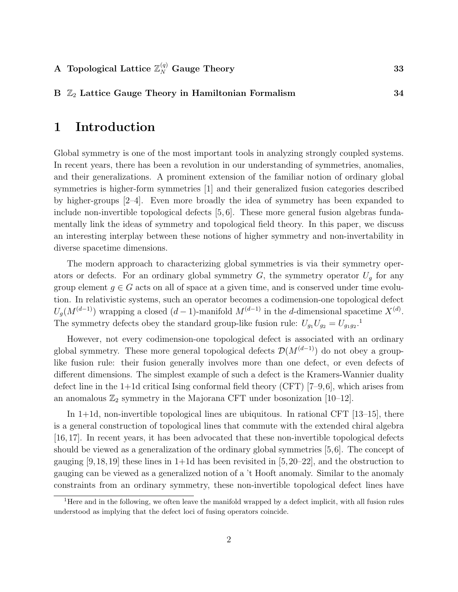#### B  $\mathbb{Z}_2$  Lattice Gauge Theory in Hamiltonian Formalism [34](#page-34-0)

## <span id="page-2-0"></span>1 Introduction

Global symmetry is one of the most important tools in analyzing strongly coupled systems. In recent years, there has been a revolution in our understanding of symmetries, anomalies, and their generalizations. A prominent extension of the familiar notion of ordinary global symmetries is higher-form symmetries [\[1\]](#page-35-0) and their generalized fusion categories described by higher-groups [\[2–](#page-35-1)[4\]](#page-35-2). Even more broadly the idea of symmetry has been expanded to include non-invertible topological defects [\[5,](#page-35-3) [6\]](#page-35-4). These more general fusion algebras fundamentally link the ideas of symmetry and topological field theory. In this paper, we discuss an interesting interplay between these notions of higher symmetry and non-invertability in diverse spacetime dimensions.

The modern approach to characterizing global symmetries is via their symmetry operators or defects. For an ordinary global symmetry  $G$ , the symmetry operator  $U_q$  for any group element  $g \in G$  acts on all of space at a given time, and is conserved under time evolution. In relativistic systems, such an operator becomes a codimension-one topological defect  $U_g(M^{(d-1)})$  wrapping a closed  $(d-1)$ -manifold  $M^{(d-1)}$  in the d-dimensional spacetime  $X^{(d)}$ . The symmetry defects obey the standard group-like fusion rule:  $U_{g_1}U_{g_2} = U_{g_1g_2}$  $U_{g_1}U_{g_2} = U_{g_1g_2}$  $U_{g_1}U_{g_2} = U_{g_1g_2}$ <sup>1</sup>.

However, not every codimension-one topological defect is associated with an ordinary global symmetry. These more general topological defects  $\mathcal{D}(M^{(d-1)})$  do not obey a grouplike fusion rule: their fusion generally involves more than one defect, or even defects of different dimensions. The simplest example of such a defect is the Kramers-Wannier duality defect line in the  $1+1d$  critical Ising conformal field theory (CFT) [\[7](#page-35-5)[–9,](#page-35-6)[6\]](#page-35-4), which arises from an anomalous  $\mathbb{Z}_2$  symmetry in the Majorana CFT under bosonization [\[10–](#page-36-0)[12\]](#page-36-1).

In 1+1d, non-invertible topological lines are ubiquitous. In rational CFT [\[13–](#page-36-2)[15\]](#page-36-3), there is a general construction of topological lines that commute with the extended chiral algebra [\[16,](#page-36-4) [17\]](#page-36-5). In recent years, it has been advocated that these non-invertible topological defects should be viewed as a generalization of the ordinary global symmetries [\[5,](#page-35-3)[6\]](#page-35-4). The concept of gauging  $[9,18,19]$  $[9,18,19]$  $[9,18,19]$  these lines in 1+1d has been revisited in  $[5,20-22]$  $[5,20-22]$  $[5,20-22]$ , and the obstruction to gauging can be viewed as a generalized notion of a 't Hooft anomaly. Similar to the anomaly constraints from an ordinary symmetry, these non-invertible topological defect lines have

<span id="page-2-1"></span><sup>&</sup>lt;sup>1</sup>Here and in the following, we often leave the manifold wrapped by a defect implicit, with all fusion rules understood as implying that the defect loci of fusing operators coincide.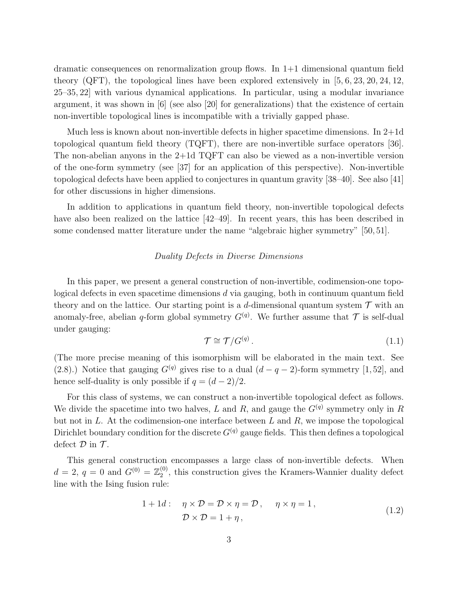dramatic consequences on renormalization group flows. In  $1+1$  dimensional quantum field theory (QFT), the topological lines have been explored extensively in [\[5,](#page-35-3) [6,](#page-35-4) [23,](#page-36-10) [20,](#page-36-8) [24,](#page-36-11) [12,](#page-36-1) [25–](#page-36-12)[35,](#page-37-0) [22\]](#page-36-9) with various dynamical applications. In particular, using a modular invariance argument, it was shown in  $[6]$  (see also [\[20\]](#page-36-8) for generalizations) that the existence of certain non-invertible topological lines is incompatible with a trivially gapped phase.

Much less is known about non-invertible defects in higher spacetime dimensions. In 2+1d topological quantum field theory (TQFT), there are non-invertible surface operators [\[36\]](#page-37-1). The non-abelian anyons in the 2+1d TQFT can also be viewed as a non-invertible version of the one-form symmetry (see [\[37\]](#page-37-2) for an application of this perspective). Non-invertible topological defects have been applied to conjectures in quantum gravity [\[38–](#page-37-3)[40\]](#page-37-4). See also [\[41\]](#page-37-5) for other discussions in higher dimensions.

In addition to applications in quantum field theory, non-invertible topological defects have also been realized on the lattice [\[42](#page-38-0)[–49\]](#page-38-1). In recent years, this has been described in some condensed matter literature under the name "algebraic higher symmetry" [\[50,](#page-38-2) [51\]](#page-38-3).

#### Duality Defects in Diverse Dimensions

In this paper, we present a general construction of non-invertible, codimension-one topological defects in even spacetime dimensions d via gauging, both in continuum quantum field theory and on the lattice. Our starting point is a d-dimensional quantum system  $\mathcal T$  with an anomaly-free, abelian q-form global symmetry  $G^{(q)}$ . We further assume that  $\mathcal T$  is self-dual under gauging:

$$
\mathcal{T} \cong \mathcal{T}/G^{(q)}.\tag{1.1}
$$

(The more precise meaning of this isomorphism will be elaborated in the main text. See [\(2.8\)](#page-9-1).) Notice that gauging  $G^{(q)}$  gives rise to a dual  $(d - q - 2)$ -form symmetry [\[1,](#page-35-0)[52\]](#page-38-4), and hence self-duality is only possible if  $q = (d-2)/2$ .

For this class of systems, we can construct a non-invertible topological defect as follows. We divide the spacetime into two halves, L and R, and gauge the  $G<sup>(q)</sup>$  symmetry only in R but not in  $L$ . At the codimension-one interface between  $L$  and  $R$ , we impose the topological Dirichlet boundary condition for the discrete  $G<sup>(q)</sup>$  gauge fields. This then defines a topological defect  $\mathcal D$  in  $\mathcal T$ .

This general construction encompasses a large class of non-invertible defects. When  $d = 2, q = 0 \text{ and } G^{(0)} = \mathbb{Z}_2^{(0)}$  $2<sup>(0)</sup>$ , this construction gives the Kramers-Wannier duality defect line with the Ising fusion rule:

<span id="page-3-0"></span>
$$
1 + 1d: \quad \eta \times \mathcal{D} = \mathcal{D} \times \eta = \mathcal{D}, \quad \eta \times \eta = 1,
$$
  

$$
\mathcal{D} \times \mathcal{D} = 1 + \eta,
$$
 (1.2)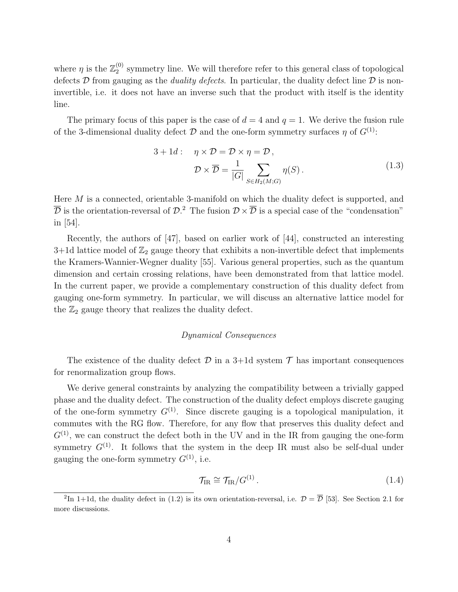where  $\eta$  is the  $\mathbb{Z}_2^{(0)}$  $_2^{\circ}$  symmetry line. We will therefore refer to this general class of topological defects D from gauging as the *duality defects*. In particular, the duality defect line D is noninvertible, i.e. it does not have an inverse such that the product with itself is the identity line.

The primary focus of this paper is the case of  $d = 4$  and  $q = 1$ . We derive the fusion rule of the 3-dimensional duality defect  $\mathcal D$  and the one-form symmetry surfaces  $\eta$  of  $G^{(1)}$ :

$$
3 + 1d: \quad \eta \times \mathcal{D} = \mathcal{D} \times \eta = \mathcal{D},
$$

$$
\mathcal{D} \times \overline{\mathcal{D}} = \frac{1}{|G|} \sum_{S \in H_2(M;G)} \eta(S).
$$
(1.3)

Here  $M$  is a connected, orientable 3-manifold on which the duality defect is supported, and  $\overline{\mathcal{D}}$  is the orientation-reversal of  $\mathcal{D}.^2$  $\mathcal{D}.^2$  The fusion  $\mathcal{D} \times \overline{\mathcal{D}}$  is a special case of the "condensation" in [\[54\]](#page-38-5).

Recently, the authors of [\[47\]](#page-38-6), based on earlier work of [\[44\]](#page-38-7), constructed an interesting 3+1d lattice model of  $\mathbb{Z}_2$  gauge theory that exhibits a non-invertible defect that implements the Kramers-Wannier-Wegner duality [\[55\]](#page-38-8). Various general properties, such as the quantum dimension and certain crossing relations, have been demonstrated from that lattice model. In the current paper, we provide a complementary construction of this duality defect from gauging one-form symmetry. In particular, we will discuss an alternative lattice model for the  $\mathbb{Z}_2$  gauge theory that realizes the duality defect.

#### Dynamical Consequences

The existence of the duality defect  $\mathcal D$  in a 3+1d system  $\mathcal T$  has important consequences for renormalization group flows.

We derive general constraints by analyzing the compatibility between a trivially gapped phase and the duality defect. The construction of the duality defect employs discrete gauging of the one-form symmetry  $G^{(1)}$ . Since discrete gauging is a topological manipulation, it commutes with the RG flow. Therefore, for any flow that preserves this duality defect and  $G^{(1)}$ , we can construct the defect both in the UV and in the IR from gauging the one-form symmetry  $G^{(1)}$ . It follows that the system in the deep IR must also be self-dual under gauging the one-form symmetry  $G^{(1)}$ , i.e.

<span id="page-4-1"></span>
$$
\mathcal{T}_{\text{IR}} \cong \mathcal{T}_{\text{IR}}/G^{(1)}\,. \tag{1.4}
$$

<span id="page-4-0"></span><sup>&</sup>lt;sup>2</sup>In 1+1d, the duality defect in [\(1.2\)](#page-3-0) is its own orientation-reversal, i.e.  $\mathcal{D} = \overline{\mathcal{D}}$  [\[53\]](#page-38-9). See Section [2.1](#page-7-0) for more discussions.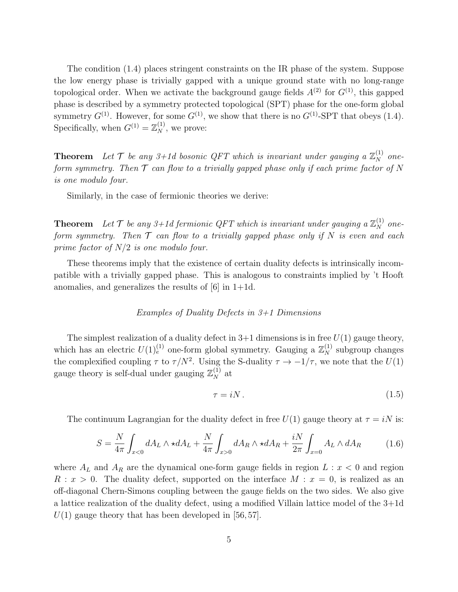The condition [\(1.4\)](#page-4-1) places stringent constraints on the IR phase of the system. Suppose the low energy phase is trivially gapped with a unique ground state with no long-range topological order. When we activate the background gauge fields  $A^{(2)}$  for  $G^{(1)}$ , this gapped phase is described by a symmetry protected topological (SPT) phase for the one-form global symmetry  $G^{(1)}$ . However, for some  $G^{(1)}$ , we show that there is no  $G^{(1)}$ -SPT that obeys [\(1.4\)](#page-4-1). Specifically, when  $G^{(1)} = \mathbb{Z}_N^{(1)}$ , we prove:

**Theorem** Let  $T$  be any 3+1d bosonic QFT which is invariant under gauging a  $\mathbb{Z}_N^{(1)}$  oneform symmetry. Then  $\mathcal T$  can flow to a trivially gapped phase only if each prime factor of N is one modulo four.

Similarly, in the case of fermionic theories we derive:

**Theorem** Let  $\mathcal{T}$  be any 3+1d fermionic QFT which is invariant under gauging a  $\mathbb{Z}_N^{(1)}$  oneform symmetry. Then  $T$  can flow to a trivially gapped phase only if N is even and each prime factor of  $N/2$  is one modulo four.

These theorems imply that the existence of certain duality defects is intrinsically incompatible with a trivially gapped phase. This is analogous to constraints implied by 't Hooft anomalies, and generalizes the results of  $[6]$  in 1+1d.

#### Examples of Duality Defects in 3+1 Dimensions

The simplest realization of a duality defect in  $3+1$  dimensions is in free  $U(1)$  gauge theory, which has an electric  $U(1)_{e}^{(1)}$  one-form global symmetry. Gauging a  $\mathbb{Z}_{N}^{(1)}$  subgroup changes the complexified coupling  $\tau$  to  $\tau/N^2$ . Using the S-duality  $\tau \to -1/\tau$ , we note that the  $U(1)$ gauge theory is self-dual under gauging  $\mathbb{Z}_N^{(1)}$  at

$$
\tau = iN. \tag{1.5}
$$

The continuum Lagrangian for the duality defect in free  $U(1)$  gauge theory at  $\tau = iN$  is:

$$
S = \frac{N}{4\pi} \int_{x<0} dA_L \wedge \star dA_L + \frac{N}{4\pi} \int_{x>0} dA_R \wedge \star dA_R + \frac{iN}{2\pi} \int_{x=0} A_L \wedge dA_R \tag{1.6}
$$

where  $A_L$  and  $A_R$  are the dynamical one-form gauge fields in region  $L : x < 0$  and region  $R : x > 0$ . The duality defect, supported on the interface  $M : x = 0$ , is realized as an off-diagonal Chern-Simons coupling between the gauge fields on the two sides. We also give a lattice realization of the duality defect, using a modified Villain lattice model of the 3+1d  $U(1)$  gauge theory that has been developed in [\[56,](#page-38-10) [57\]](#page-39-0).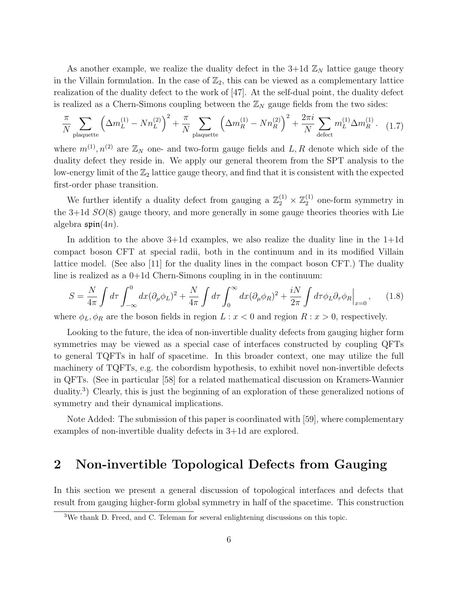As another example, we realize the duality defect in the  $3+1d\mathbb{Z}_N$  lattice gauge theory in the Villain formulation. In the case of  $\mathbb{Z}_2$ , this can be viewed as a complementary lattice realization of the duality defect to the work of [\[47\]](#page-38-6). At the self-dual point, the duality defect is realized as a Chern-Simons coupling between the  $\mathbb{Z}_N$  gauge fields from the two sides:

$$
\frac{\pi}{N} \sum_{\text{plaquette}} \left( \Delta m_L^{(1)} - N n_L^{(2)} \right)^2 + \frac{\pi}{N} \sum_{\text{plaquette}} \left( \Delta m_R^{(1)} - N n_R^{(2)} \right)^2 + \frac{2\pi i}{N} \sum_{\text{defect}} m_L^{(1)} \Delta m_R^{(1)}.
$$
 (1.7)

where  $m^{(1)}, n^{(2)}$  are  $\mathbb{Z}_N$  one- and two-form gauge fields and L, R denote which side of the duality defect they reside in. We apply our general theorem from the SPT analysis to the low-energy limit of the  $\mathbb{Z}_2$  lattice gauge theory, and find that it is consistent with the expected first-order phase transition.

We further identify a duality defect from gauging a  $\mathbb{Z}_2^{(1)} \times \mathbb{Z}_2^{(1)}$  $_2^{(1)}$  one-form symmetry in the  $3+1d$   $SO(8)$  gauge theory, and more generally in some gauge theories theories with Lie algebra  $\mathfrak{spin}(4n)$ .

In addition to the above  $3+1d$  examples, we also realize the duality line in the  $1+1d$ compact boson CFT at special radii, both in the continuum and in its modified Villain lattice model. (See also [\[11\]](#page-36-13) for the duality lines in the compact boson CFT.) The duality line is realized as a 0+1d Chern-Simons coupling in in the continuum:

$$
S = \frac{N}{4\pi} \int d\tau \int_{-\infty}^{0} dx (\partial_{\mu}\phi_{L})^{2} + \frac{N}{4\pi} \int d\tau \int_{0}^{\infty} dx (\partial_{\mu}\phi_{R})^{2} + \frac{iN}{2\pi} \int d\tau \phi_{L}\partial_{\tau}\phi_{R}\Big|_{x=0}, \quad (1.8)
$$

where  $\phi_L, \phi_R$  are the boson fields in region  $L : x < 0$  and region  $R : x > 0$ , respectively.

Looking to the future, the idea of non-invertible duality defects from gauging higher form symmetries may be viewed as a special case of interfaces constructed by coupling QFTs to general TQFTs in half of spacetime. In this broader context, one may utilize the full machinery of TQFTs, e.g. the cobordism hypothesis, to exhibit novel non-invertible defects in QFTs. (See in particular [\[58\]](#page-39-1) for a related mathematical discussion on Kramers-Wannier duality.<sup>[3](#page-6-1)</sup>) Clearly, this is just the beginning of an exploration of these generalized notions of symmetry and their dynamical implications.

Note Added: The submission of this paper is coordinated with [\[59\]](#page-39-2), where complementary examples of non-invertible duality defects in 3+1d are explored.

## <span id="page-6-0"></span>2 Non-invertible Topological Defects from Gauging

In this section we present a general discussion of topological interfaces and defects that result from gauging higher-form global symmetry in half of the spacetime. This construction

<span id="page-6-1"></span><sup>&</sup>lt;sup>3</sup>We thank D. Freed, and C. Teleman for several enlightening discussions on this topic.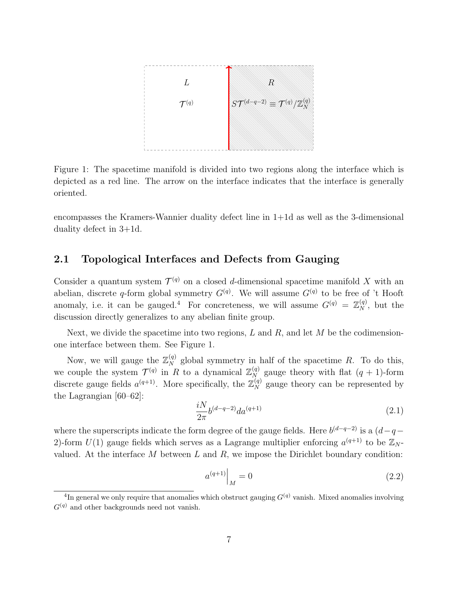

<span id="page-7-2"></span>Figure 1: The spacetime manifold is divided into two regions along the interface which is depicted as a red line. The arrow on the interface indicates that the interface is generally oriented.

encompasses the Kramers-Wannier duality defect line in 1+1d as well as the 3-dimensional duality defect in 3+1d.

#### <span id="page-7-0"></span>2.1 Topological Interfaces and Defects from Gauging

Consider a quantum system  $\mathcal{T}^{(q)}$  on a closed d-dimensional spacetime manifold X with an abelian, discrete q-form global symmetry  $G<sup>(q)</sup>$ . We will assume  $G<sup>(q)</sup>$  to be free of 't Hooft anomaly, i.e. it can be gauged.<sup>[4](#page-7-1)</sup> For concreteness, we will assume  $G^{(q)} = \mathbb{Z}_N^{(q)}$ , but the discussion directly generalizes to any abelian finite group.

Next, we divide the spacetime into two regions, L and R, and let M be the codimensionone interface between them. See Figure [1.](#page-7-2)

Now, we will gauge the  $\mathbb{Z}_N^{(q)}$  global symmetry in half of the spacetime R. To do this, we couple the system  $\mathcal{T}^{(q)}$  in R to a dynamical  $\mathbb{Z}_{N}^{(q)}$  gauge theory with flat  $(q + 1)$ -form discrete gauge fields  $a^{(q+1)}$ . More specifically, the  $\mathbb{Z}_N^{(q)}$  gauge theory can be represented by the Lagrangian [\[60](#page-39-3)[–62\]](#page-39-4):

<span id="page-7-3"></span>
$$
\frac{iN}{2\pi}b^{(d-q-2)}da^{(q+1)}\tag{2.1}
$$

where the superscripts indicate the form degree of the gauge fields. Here  $b^{(d-q-2)}$  is a  $(d-q-$ 2)-form  $U(1)$  gauge fields which serves as a Lagrange multiplier enforcing  $a^{(q+1)}$  to be  $\mathbb{Z}_N$ . valued. At the interface  $M$  between  $L$  and  $R$ , we impose the Dirichlet boundary condition:

<span id="page-7-4"></span>
$$
a^{(q+1)}\Big|_{M} = 0\tag{2.2}
$$

<span id="page-7-1"></span><sup>&</sup>lt;sup>4</sup>In general we only require that anomalies which obstruct gauging  $G<sup>(q)</sup>$  vanish. Mixed anomalies involving  $G<sup>(q)</sup>$  and other backgrounds need not vanish.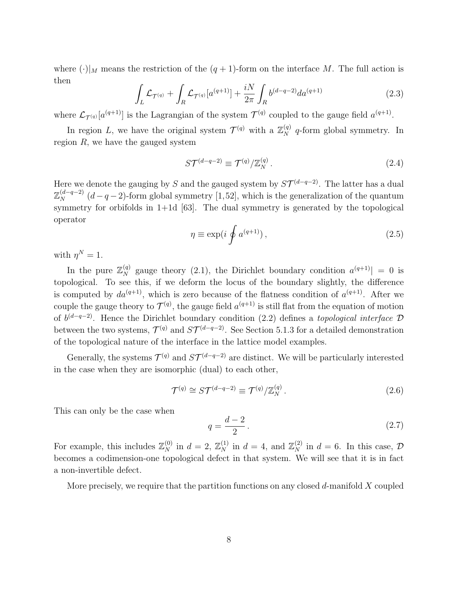where  $(\cdot)|_M$  means the restriction of the  $(q + 1)$ -form on the interface M. The full action is then

$$
\int_{L} \mathcal{L}_{\mathcal{T}^{(q)}} + \int_{R} \mathcal{L}_{\mathcal{T}^{(q)}}[a^{(q+1)}] + \frac{iN}{2\pi} \int_{R} b^{(d-q-2)} da^{(q+1)} \tag{2.3}
$$

where  $\mathcal{L}_{\mathcal{T}^{(q)}}[a^{(q+1)}]$  is the Lagrangian of the system  $\mathcal{T}^{(q)}$  coupled to the gauge field  $a^{(q+1)}$ .

In region L, we have the original system  $\mathcal{T}^{(q)}$  with a  $\mathbb{Z}_N^{(q)}$  q-form global symmetry. In region  $R$ , we have the gauged system

$$
S\mathcal{T}^{(d-q-2)} \equiv \mathcal{T}^{(q)}/\mathbb{Z}_N^{(q)}\,. \tag{2.4}
$$

Here we denote the gauging by S and the gauged system by  $ST^{(d-q-2)}$ . The latter has a dual  $\mathbb{Z}_N^{(d-q-2)}$   $(d-q-2)$ -form global symmetry [\[1,](#page-35-0)[52\]](#page-38-4), which is the generalization of the quantum symmetry for orbifolds in  $1+1d$  [\[63\]](#page-39-5). The dual symmetry is generated by the topological operator

$$
\eta \equiv \exp(i \oint a^{(q+1)}), \qquad (2.5)
$$

with  $\eta^N=1$ .

In the pure  $\mathbb{Z}_N^{(q)}$  gauge theory [\(2.1\)](#page-7-3), the Dirichlet boundary condition  $a^{(q+1)}$  = 0 is topological. To see this, if we deform the locus of the boundary slightly, the difference is computed by  $da^{(q+1)}$ , which is zero because of the flatness condition of  $a^{(q+1)}$ . After we couple the gauge theory to  $\mathcal{T}^{(q)}$ , the gauge field  $a^{(q+1)}$  is still flat from the equation of motion of  $b^{(d-q-2)}$ . Hence the Dirichlet boundary condition [\(2.2\)](#page-7-4) defines a *topological interface*  $\mathcal D$ between the two systems,  $\mathcal{T}^{(q)}$  and  $S\mathcal{T}^{(d-q-2)}$ . See Section [5.1.3](#page-25-0) for a detailed demonstration of the topological nature of the interface in the lattice model examples.

Generally, the systems  $\mathcal{T}^{(q)}$  and  $\mathcal{ST}^{(d-q-2)}$  are distinct. We will be particularly interested in the case when they are isomorphic (dual) to each other,

$$
\mathcal{T}^{(q)} \cong S\mathcal{T}^{(d-q-2)} \equiv \mathcal{T}^{(q)}/\mathbb{Z}_N^{(q)}.
$$
\n
$$
(2.6)
$$

This can only be the case when

<span id="page-8-0"></span>
$$
q = \frac{d-2}{2} \tag{2.7}
$$

For example, this includes  $\mathbb{Z}_N^{(0)}$  in  $d=2$ ,  $\mathbb{Z}_N^{(1)}$  in  $d=4$ , and  $\mathbb{Z}_N^{(2)}$  in  $d=6$ . In this case,  $\mathcal{D}$ becomes a codimension-one topological defect in that system. We will see that it is in fact a non-invertible defect.

More precisely, we require that the partition functions on any closed d-manifold  $X$  coupled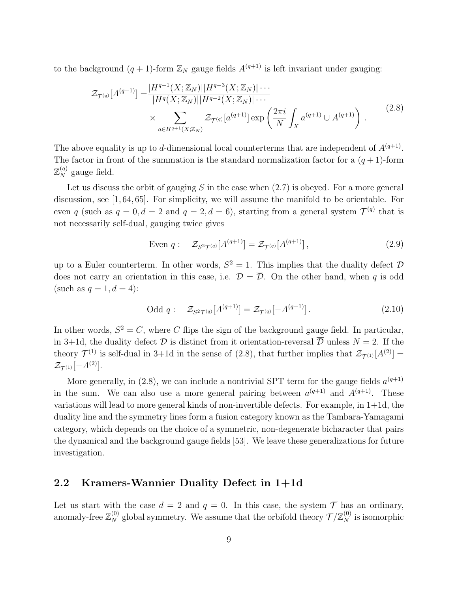to the background  $(q + 1)$ -form  $\mathbb{Z}_N$  gauge fields  $A^{(q+1)}$  is left invariant under gauging:

<span id="page-9-1"></span>
$$
\mathcal{Z}_{\mathcal{T}^{(q)}}[A^{(q+1)}] = \frac{|H^{q-1}(X; \mathbb{Z}_N)||H^{q-3}(X; \mathbb{Z}_N)| \cdots}{|H^q(X; \mathbb{Z}_N)||H^{q-2}(X; \mathbb{Z}_N)| \cdots} \times \sum_{a \in H^{q+1}(X; \mathbb{Z}_N)} \mathcal{Z}_{\mathcal{T}^{(q)}}[a^{(q+1)}] \exp\left(\frac{2\pi i}{N} \int_X a^{(q+1)} \cup A^{(q+1)}\right).
$$
\n(2.8)

The above equality is up to d-dimensional local counterterms that are independent of  $A^{(q+1)}$ . The factor in front of the summation is the standard normalization factor for a  $(q+1)$ -form  $\mathbb{Z}_N^{(q)}$  gauge field.

Let us discuss the orbit of gauging  $S$  in the case when  $(2.7)$  is obeyed. For a more general discussion, see [\[1,](#page-35-0) [64,](#page-39-6) [65\]](#page-39-7). For simplicity, we will assume the manifold to be orientable. For even q (such as  $q = 0, d = 2$  and  $q = 2, d = 6$ ), starting from a general system  $\mathcal{T}^{(q)}$  that is not necessarily self-dual, gauging twice gives

Even 
$$
q: \quad \mathcal{Z}_{S^2 \mathcal{T}^{(q)}}[A^{(q+1)}] = \mathcal{Z}_{\mathcal{T}^{(q)}}[A^{(q+1)}],
$$
 (2.9)

up to a Euler counterterm. In other words,  $S^2 = 1$ . This implies that the duality defect  $\mathcal{D}$ does not carry an orientation in this case, i.e.  $\mathcal{D} = \overline{\mathcal{D}}$ . On the other hand, when q is odd (such as  $q=1, d=4$ ):

Odd 
$$
q: \quad \mathcal{Z}_{S^2\mathcal{T}^{(q)}}[A^{(q+1)}] = \mathcal{Z}_{\mathcal{T}^{(q)}}[-A^{(q+1)}].
$$
 (2.10)

In other words,  $S^2 = C$ , where C flips the sign of the background gauge field. In particular, in 3+1d, the duality defect  $\mathcal D$  is distinct from it orientation-reversal  $\overline{\mathcal D}$  unless  $N = 2$ . If the theory  $\mathcal{T}^{(1)}$  is self-dual in 3+1d in the sense of [\(2.8\)](#page-9-1), that further implies that  $\mathcal{Z}_{\mathcal{T}^{(1)}}[A^{(2)}] =$  $\mathcal{Z}_{\mathcal{T}^{(1)}}[-A^{(2)}].$ 

More generally, in [\(2.8\)](#page-9-1), we can include a nontrivial SPT term for the gauge fields  $a^{(q+1)}$ in the sum. We can also use a more general pairing between  $a^{(q+1)}$  and  $A^{(q+1)}$ . These variations will lead to more general kinds of non-invertible defects. For example, in 1+1d, the duality line and the symmetry lines form a fusion category known as the Tambara-Yamagami category, which depends on the choice of a symmetric, non-degenerate bicharacter that pairs the dynamical and the background gauge fields [\[53\]](#page-38-9). We leave these generalizations for future investigation.

#### <span id="page-9-0"></span>2.2 Kramers-Wannier Duality Defect in 1+1d

Let us start with the case  $d = 2$  and  $q = 0$ . In this case, the system  $\mathcal T$  has an ordinary, anomaly-free  $\mathbb{Z}_N^{(0)}$  global symmetry. We assume that the orbifold theory  $\mathcal{T}/\mathbb{Z}_N^{(0)}$  is isomorphic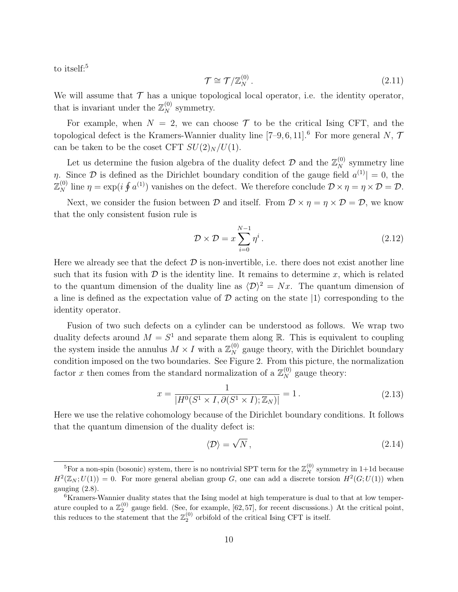to itself:<sup>[5](#page-10-0)</sup>

$$
\mathcal{T} \cong \mathcal{T}/\mathbb{Z}_N^{(0)}\,. \tag{2.11}
$$

We will assume that  $\mathcal T$  has a unique topological local operator, i.e. the identity operator, that is invariant under the  $\mathbb{Z}_N^{(0)}$  symmetry.

For example, when  $N = 2$ , we can choose  $\mathcal T$  to be the critical Ising CFT, and the topological defect is the Kramers-Wannier duality line  $[7-9, 6, 11]$  $[7-9, 6, 11]$  $[7-9, 6, 11]$  $[7-9, 6, 11]$  $[7-9, 6, 11]$  $[7-9, 6, 11]$ .<sup>[6](#page-10-1)</sup> For more general N,  $\mathcal{T}$ can be taken to be the coset CFT  $SU(2)_N / U(1)$ .

Let us determine the fusion algebra of the duality defect  $\mathcal{D}$  and the  $\mathbb{Z}_N^{(0)}$  symmetry line  $\eta$ . Since  $\mathcal{D}$  is defined as the Dirichlet boundary condition of the gauge field  $a^{(1)} = 0$ , the  $\mathbb{Z}_N^{(0)}$  line  $\eta = \exp(i \oint a^{(1)})$  vanishes on the defect. We therefore conclude  $\mathcal{D} \times \eta = \eta \times \mathcal{D} = \mathcal{D}$ .

Next, we consider the fusion between  $\mathcal D$  and itself. From  $\mathcal D \times \eta = \eta \times \mathcal D = \mathcal D$ , we know that the only consistent fusion rule is

$$
\mathcal{D} \times \mathcal{D} = x \sum_{i=0}^{N-1} \eta^i.
$$
 (2.12)

Here we already see that the defect  $\mathcal D$  is non-invertible, i.e. there does not exist another line such that its fusion with  $\mathcal D$  is the identity line. It remains to determine x, which is related to the quantum dimension of the duality line as  $\langle \mathcal{D} \rangle^2 = Nx$ . The quantum dimension of a line is defined as the expectation value of  $\mathcal D$  acting on the state  $|1\rangle$  corresponding to the identity operator.

Fusion of two such defects on a cylinder can be understood as follows. We wrap two duality defects around  $M = S<sup>1</sup>$  and separate them along R. This is equivalent to coupling the system inside the annulus  $M \times I$  with a  $\mathbb{Z}_N^{(0)}$  gauge theory, with the Dirichlet boundary condition imposed on the two boundaries. See Figure [2.](#page-11-0) From this picture, the normalization factor x then comes from the standard normalization of a  $\mathbb{Z}_N^{(0)}$  gauge theory:

$$
x = \frac{1}{|H^0(S^1 \times I, \partial(S^1 \times I); \mathbb{Z}_N)|} = 1.
$$
 (2.13)

Here we use the relative cohomology because of the Dirichlet boundary conditions. It follows that the quantum dimension of the duality defect is:

$$
\langle \mathcal{D} \rangle = \sqrt{N} \,, \tag{2.14}
$$

<span id="page-10-0"></span><sup>&</sup>lt;sup>5</sup>For a non-spin (bosonic) system, there is no nontrivial SPT term for the  $\mathbb{Z}_N^{(0)}$  symmetry in 1+1d because  $H^2(\mathbb{Z}_N;U(1))=0$ . For more general abelian group G, one can add a discrete torsion  $H^2(G;U(1))$  when gauging [\(2.8\)](#page-9-1).

<span id="page-10-1"></span><sup>&</sup>lt;sup>6</sup>Kramers-Wannier duality states that the Ising model at high temperature is dual to that at low temperature coupled to a  $\mathbb{Z}_2^{(0)}$  gauge field. (See, for example, [\[62,](#page-39-4) [57\]](#page-39-0), for recent discussions.) At the critical point, this reduces to the statement that the  $\mathbb{Z}_2^{(0)}$  orbifold of the critical Ising CFT is itself.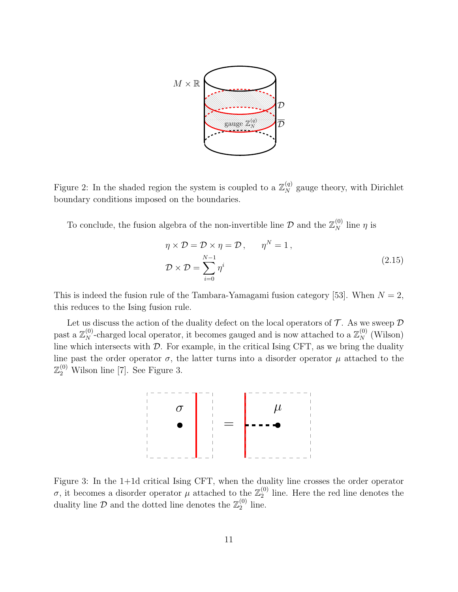

<span id="page-11-0"></span>Figure 2: In the shaded region the system is coupled to a  $\mathbb{Z}_N^{(q)}$  gauge theory, with Dirichlet boundary conditions imposed on the boundaries.

To conclude, the fusion algebra of the non-invertible line  $\mathcal{D}$  and the  $\mathbb{Z}_N^{(0)}$  line  $\eta$  is

<span id="page-11-2"></span>
$$
\eta \times \mathcal{D} = \mathcal{D} \times \eta = \mathcal{D}, \qquad \eta^N = 1,
$$
  

$$
\mathcal{D} \times \mathcal{D} = \sum_{i=0}^{N-1} \eta^i
$$
 (2.15)

This is indeed the fusion rule of the Tambara-Yamagami fusion category [\[53\]](#page-38-9). When  $N = 2$ , this reduces to the Ising fusion rule.

Let us discuss the action of the duality defect on the local operators of  $\mathcal T$ . As we sweep  $\mathcal D$ past a  $\mathbb{Z}_N^{(0)}$ -charged local operator, it becomes gauged and is now attached to a  $\mathbb{Z}_N^{(0)}$  (Wilson) line which intersects with  $D$ . For example, in the critical Ising CFT, as we bring the duality line past the order operator  $\sigma$ , the latter turns into a disorder operator  $\mu$  attached to the  $\mathbb{Z}_2^{(0)}$  Wilson line [\[7\]](#page-35-5). See Figure [3.](#page-11-1)



<span id="page-11-1"></span>Figure 3: In the 1+1d critical Ising CFT, when the duality line crosses the order operator σ, it becomes a disorder operator  $\mu$  attached to the  $\mathbb{Z}_2^{(0)}$  $_2^{\text{(0)}}$  line. Here the red line denotes the duality line  $\mathcal{D}$  and the dotted line denotes the  $\mathbb{Z}_2^{(0)}$  $_2^{\left(\nu\right)}$  line.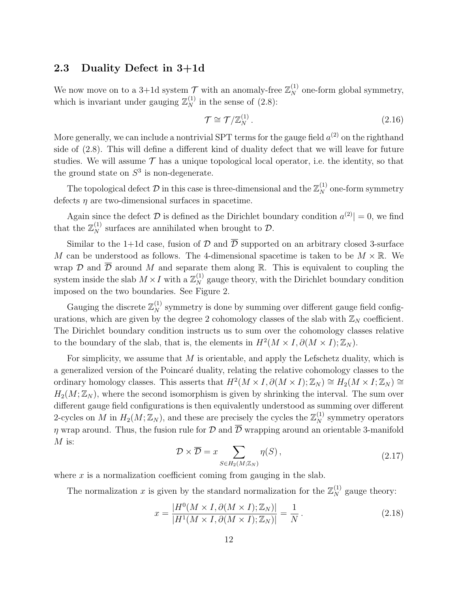#### <span id="page-12-0"></span>2.3 Duality Defect in 3+1d

We now move on to a 3+1d system  $\mathcal{T}$  with an anomaly-free  $\mathbb{Z}_N^{(1)}$  one-form global symmetry, which is invariant under gauging  $\mathbb{Z}_N^{(1)}$  in the sense of [\(2.8\)](#page-9-1):

$$
\mathcal{T} \cong \mathcal{T}/\mathbb{Z}_N^{(1)}\,. \tag{2.16}
$$

More generally, we can include a nontrivial SPT terms for the gauge field  $a^{(2)}$  on the righthand side of [\(2.8\)](#page-9-1). This will define a different kind of duality defect that we will leave for future studies. We will assume  $\mathcal T$  has a unique topological local operator, i.e. the identity, so that the ground state on  $S^3$  is non-degenerate.

The topological defect  $\mathcal D$  in this case is three-dimensional and the  $\mathbb Z_N^{(1)}$  one-form symmetry defects  $\eta$  are two-dimensional surfaces in spacetime.

Again since the defect  $\mathcal D$  is defined as the Dirichlet boundary condition  $a^{(2)}| = 0$ , we find that the  $\mathbb{Z}_N^{(1)}$  surfaces are annihilated when brought to  $\mathcal{D}$ .

Similar to the 1+1d case, fusion of  $\mathcal D$  and  $\overline{\mathcal D}$  supported on an arbitrary closed 3-surface M can be understood as follows. The 4-dimensional spacetime is taken to be  $M \times \mathbb{R}$ . We wrap  $\mathcal D$  and  $\overline{\mathcal D}$  around M and separate them along R. This is equivalent to coupling the system inside the slab  $M \times I$  with a  $\mathbb{Z}_N^{(1)}$  gauge theory, with the Dirichlet boundary condition imposed on the two boundaries. See Figure [2.](#page-11-0)

Gauging the discrete  $\mathbb{Z}_N^{(1)}$  symmetry is done by summing over different gauge field configurations, which are given by the degree 2 cohomology classes of the slab with  $\mathbb{Z}_N$  coefficient. The Dirichlet boundary condition instructs us to sum over the cohomology classes relative to the boundary of the slab, that is, the elements in  $H^2(M \times I, \partial(M \times I); \mathbb{Z}_N)$ .

For simplicity, we assume that M is orientable, and apply the Lefschetz duality, which is a generalized version of the Poincaré duality, relating the relative cohomology classes to the ordinary homology classes. This asserts that  $H^2(M \times I, \partial(M \times I); \mathbb{Z}_N) \cong H_2(M \times I; \mathbb{Z}_N) \cong$  $H_2(M; \mathbb{Z}_N)$ , where the second isomorphism is given by shrinking the interval. The sum over different gauge field configurations is then equivalently understood as summing over different 2-cycles on M in  $H_2(M; \mathbb{Z}_N)$ , and these are precisely the cycles the  $\mathbb{Z}_N^{(1)}$  symmetry operators  $\eta$  wrap around. Thus, the fusion rule for  $\mathcal D$  and  $\overline{\mathcal D}$  wrapping around an orientable 3-manifold  $M$  is:

$$
\mathcal{D} \times \overline{\mathcal{D}} = x \sum_{S \in H_2(M; \mathbb{Z}_N)} \eta(S) , \qquad (2.17)
$$

where  $x$  is a normalization coefficient coming from gauging in the slab.

The normalization x is given by the standard normalization for the  $\mathbb{Z}_N^{(1)}$  gauge theory:

$$
x = \frac{|H^0(M \times I, \partial(M \times I); \mathbb{Z}_N)|}{|H^1(M \times I, \partial(M \times I); \mathbb{Z}_N)|} = \frac{1}{N}.
$$
\n(2.18)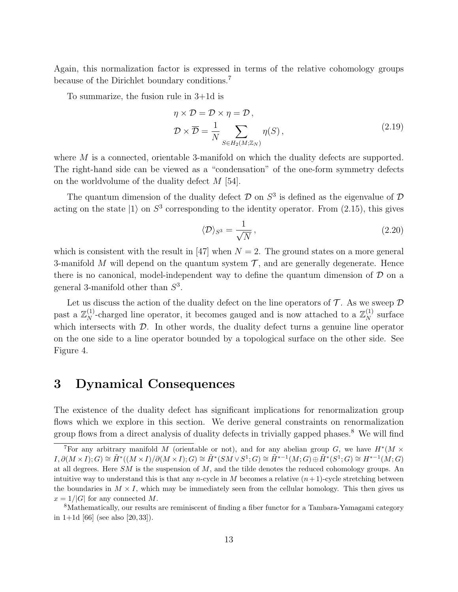Again, this normalization factor is expressed in terms of the relative cohomology groups because of the Dirichlet boundary conditions.[7](#page-13-1)

To summarize, the fusion rule in 3+1d is

$$
\eta \times \mathcal{D} = \mathcal{D} \times \eta = \mathcal{D},
$$
  
\n
$$
\mathcal{D} \times \overline{\mathcal{D}} = \frac{1}{N} \sum_{S \in H_2(M; \mathbb{Z}_N)} \eta(S),
$$
\n(2.19)

where M is a connected, orientable 3-manifold on which the duality defects are supported. The right-hand side can be viewed as a "condensation" of the one-form symmetry defects on the worldvolume of the duality defect M [\[54\]](#page-38-5).

The quantum dimension of the duality defect  $\mathcal D$  on  $S^3$  is defined as the eigenvalue of  $\mathcal D$ acting on the state  $|1\rangle$  on  $S^3$  corresponding to the identity operator. From [\(2.15\)](#page-11-2), this gives

$$
\langle \mathcal{D} \rangle_{S^3} = \frac{1}{\sqrt{N}},\tag{2.20}
$$

which is consistent with the result in [\[47\]](#page-38-6) when  $N = 2$ . The ground states on a more general 3-manifold M will depend on the quantum system  $\mathcal{T}$ , and are generally degenerate. Hence there is no canonical, model-independent way to define the quantum dimension of  $D$  on a general 3-manifold other than  $S^3$ .

Let us discuss the action of the duality defect on the line operators of  $\mathcal T$ . As we sweep  $\mathcal D$ past a  $\mathbb{Z}_N^{(1)}$ -charged line operator, it becomes gauged and is now attached to a  $\mathbb{Z}_N^{(1)}$  surface which intersects with  $\mathcal{D}$ . In other words, the duality defect turns a genuine line operator on the one side to a line operator bounded by a topological surface on the other side. See Figure [4.](#page-14-0)

## <span id="page-13-0"></span>3 Dynamical Consequences

The existence of the duality defect has significant implications for renormalization group flows which we explore in this section. We derive general constraints on renormalization group flows from a direct analysis of duality defects in trivially gapped phases.<sup>[8](#page-13-2)</sup> We will find

<span id="page-13-1"></span><sup>&</sup>lt;sup>7</sup>For any arbitrary manifold M (orientable or not), and for any abelian group G, we have  $H^*(M \times$  $I, \partial(M \times I); G) \cong \tilde{H}^*((M \times I)/\partial(M \times I); G) \cong \tilde{H}^*(SM \vee S^1; G) \cong \tilde{H}^{*-1}(M; G) \oplus \tilde{H}^*(S^1; G) \cong H^{*-1}(M; G)$ at all degrees. Here  $SM$  is the suspension of  $M$ , and the tilde denotes the reduced cohomology groups. An intuitive way to understand this is that any n-cycle in M becomes a relative  $(n+1)$ -cycle stretching between the boundaries in  $M \times I$ , which may be immediately seen from the cellular homology. This then gives us  $x = 1/|G|$  for any connected M.

<span id="page-13-2"></span><sup>8</sup>Mathematically, our results are reminiscent of finding a fiber functor for a Tambara-Yamagami category in  $1+1d$  [\[66\]](#page-39-8) (see also [\[20,](#page-36-8) [33\]](#page-37-6)).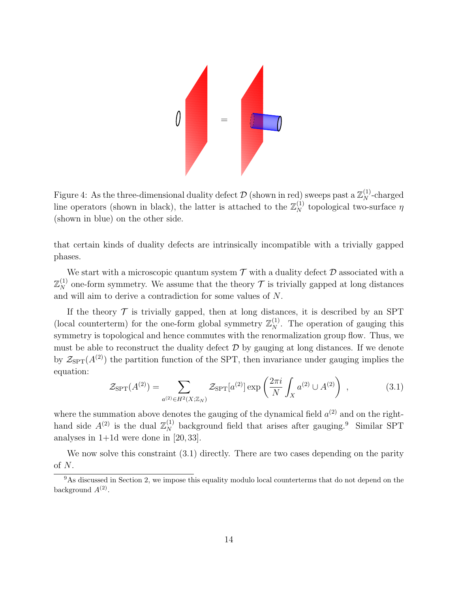

<span id="page-14-0"></span>Figure 4: As the three-dimensional duality defect  $\mathcal D$  (shown in red) sweeps past a  $\mathbb{Z}_N^{(1)}$ -charged line operators (shown in black), the latter is attached to the  $\mathbb{Z}_N^{(1)}$  topological two-surface  $\eta$ (shown in blue) on the other side.

that certain kinds of duality defects are intrinsically incompatible with a trivially gapped phases.

We start with a microscopic quantum system  $\mathcal T$  with a duality defect  $\mathcal D$  associated with a  $\mathbb{Z}_N^{(1)}$  one-form symmetry. We assume that the theory  $\mathcal T$  is trivially gapped at long distances and will aim to derive a contradiction for some values of N.

If the theory  $\mathcal T$  is trivially gapped, then at long distances, it is described by an SPT (local counterterm) for the one-form global symmetry  $\mathbb{Z}_N^{(1)}$ . The operation of gauging this symmetry is topological and hence commutes with the renormalization group flow. Thus, we must be able to reconstruct the duality defect  $\mathcal D$  by gauging at long distances. If we denote by  $\mathcal{Z}_{\text{SPT}}(A^{(2)})$  the partition function of the SPT, then invariance under gauging implies the equation:

<span id="page-14-2"></span>
$$
\mathcal{Z}_{\rm SPT}(A^{(2)}) = \sum_{a^{(2)} \in H^2(X; \mathbb{Z}_N)} \mathcal{Z}_{\rm SPT}[a^{(2)}] \exp\left(\frac{2\pi i}{N} \int_X a^{(2)} \cup A^{(2)}\right) ,\qquad (3.1)
$$

where the summation above denotes the gauging of the dynamical field  $a^{(2)}$  and on the righthand side  $A^{(2)}$  is the dual  $\mathbb{Z}_N^{(1)}$  background field that arises after gauging.<sup>[9](#page-14-1)</sup> Similar SPT analyses in  $1+1d$  were done in [\[20,](#page-36-8) [33\]](#page-37-6).

We now solve this constraint  $(3.1)$  directly. There are two cases depending on the parity of  $N$ .

<span id="page-14-1"></span><sup>&</sup>lt;sup>9</sup>As discussed in Section [2,](#page-6-0) we impose this equality modulo local counterterms that do not depend on the background  $A^{(2)}$ .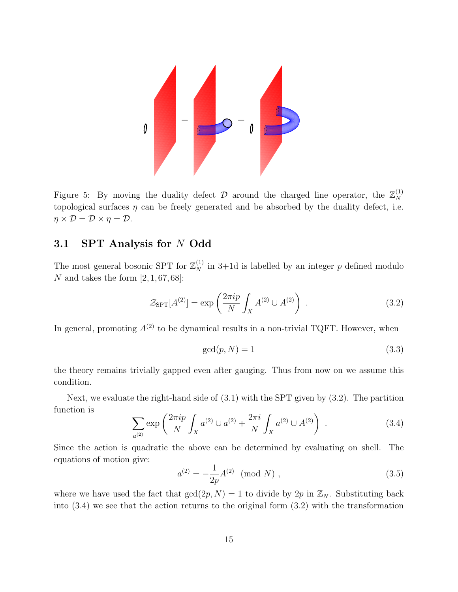

Figure 5: By moving the duality defect  $\mathcal D$  around the charged line operator, the  $\mathbb{Z}_N^{(1)}$ N topological surfaces  $\eta$  can be freely generated and be absorbed by the duality defect, i.e.  $\eta \times \mathcal{D} = \mathcal{D} \times \eta = \mathcal{D}.$ 

### <span id="page-15-0"></span>3.1 SPT Analysis for N Odd

The most general bosonic SPT for  $\mathbb{Z}_N^{(1)}$  in 3+1d is labelled by an integer p defined modulo N and takes the form  $[2, 1, 67, 68]$  $[2, 1, 67, 68]$  $[2, 1, 67, 68]$  $[2, 1, 67, 68]$  $[2, 1, 67, 68]$  $[2, 1, 67, 68]$  $[2, 1, 67, 68]$ :

<span id="page-15-1"></span>
$$
\mathcal{Z}_{\rm SPT}[A^{(2)}] = \exp\left(\frac{2\pi i p}{N} \int_X A^{(2)} \cup A^{(2)}\right) \,. \tag{3.2}
$$

In general, promoting  $A^{(2)}$  to be dynamical results in a non-trivial TQFT. However, when

$$
\gcd(p, N) = 1\tag{3.3}
$$

the theory remains trivially gapped even after gauging. Thus from now on we assume this condition.

Next, we evaluate the right-hand side of [\(3.1\)](#page-14-2) with the SPT given by [\(3.2\)](#page-15-1). The partition function is

<span id="page-15-2"></span>
$$
\sum_{a^{(2)}} \exp\left(\frac{2\pi i p}{N} \int_X a^{(2)} \cup a^{(2)} + \frac{2\pi i}{N} \int_X a^{(2)} \cup A^{(2)}\right) \,. \tag{3.4}
$$

Since the action is quadratic the above can be determined by evaluating on shell. The equations of motion give:

$$
a^{(2)} = -\frac{1}{2p}A^{(2)} \pmod{N}, \qquad (3.5)
$$

where we have used the fact that  $gcd(2p, N) = 1$  to divide by  $2p$  in  $\mathbb{Z}_N$ . Substituting back into [\(3.4\)](#page-15-2) we see that the action returns to the original form [\(3.2\)](#page-15-1) with the transformation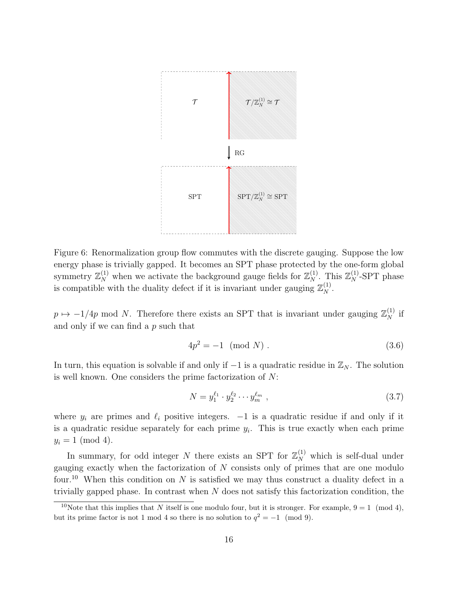

Figure 6: Renormalization group flow commutes with the discrete gauging. Suppose the low energy phase is trivially gapped. It becomes an SPT phase protected by the one-form global symmetry  $\mathbb{Z}_N^{(1)}$  when we activate the background gauge fields for  $\mathbb{Z}_N^{(1)}$ . This  $\mathbb{Z}_N^{(1)}$ -SPT phase is compatible with the duality defect if it is invariant under gauging  $\mathbb{Z}_N^{(1)}$ .

 $p \mapsto -1/4p$  mod N. Therefore there exists an SPT that is invariant under gauging  $\mathbb{Z}_N^{(1)}$  if and only if we can find a p such that

$$
4p^2 = -1 \pmod{N} \ . \tag{3.6}
$$

In turn, this equation is solvable if and only if  $-1$  is a quadratic residue in  $\mathbb{Z}_N$ . The solution is well known. One considers the prime factorization of N:

$$
N = y_1^{\ell_1} \cdot y_2^{\ell_2} \cdots y_m^{\ell_m} \t{3.7}
$$

where  $y_i$  are primes and  $\ell_i$  positive integers.  $-1$  is a quadratic residue if and only if it is a quadratic residue separately for each prime  $y_i$ . This is true exactly when each prime  $y_i = 1 \pmod{4}.$ 

In summary, for odd integer N there exists an SPT for  $\mathbb{Z}_N^{(1)}$  which is self-dual under gauging exactly when the factorization of  $N$  consists only of primes that are one modulo four.<sup>[10](#page-16-0)</sup> When this condition on N is satisfied we may thus construct a duality defect in a trivially gapped phase. In contrast when  $N$  does not satisfy this factorization condition, the

<span id="page-16-0"></span><sup>&</sup>lt;sup>10</sup>Note that this implies that N itself is one modulo four, but it is stronger. For example,  $9 = 1 \pmod{4}$ , but its prime factor is not 1 mod 4 so there is no solution to  $q^2 = -1 \pmod{9}$ .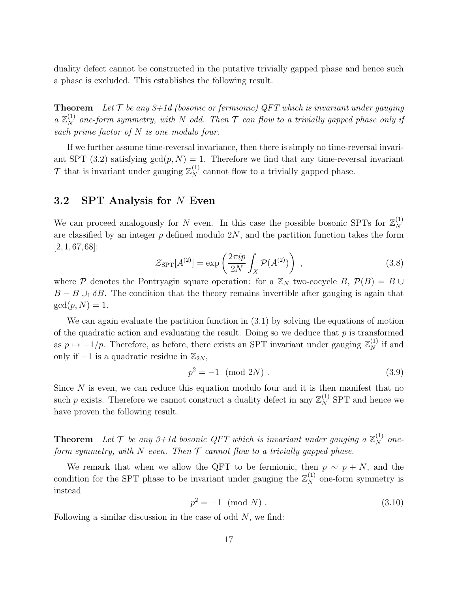duality defect cannot be constructed in the putative trivially gapped phase and hence such a phase is excluded. This establishes the following result.

**Theorem** Let  $T$  be any  $3+1d$  (bosonic or fermionic) QFT which is invariant under gauging a  $\mathbb{Z}_N^{(1)}$  one-form symmetry, with N odd. Then  $\mathcal T$  can flow to a trivially gapped phase only if each prime factor of  $N$  is one modulo four.

If we further assume time-reversal invariance, then there is simply no time-reversal invari-ant SPT [\(3.2\)](#page-15-1) satisfying  $gcd(p, N) = 1$ . Therefore we find that any time-reversal invariant  $\mathcal{T}$  that is invariant under gauging  $\mathbb{Z}_N^{(1)}$  cannot flow to a trivially gapped phase.

#### <span id="page-17-0"></span>3.2 SPT Analysis for N Even

We can proceed analogously for N even. In this case the possible bosonic SPTs for  $\mathbb{Z}_N^{(1)}$ N are classified by an integer  $p$  defined modulo  $2N$ , and the partition function takes the form [\[2,](#page-35-1) [1,](#page-35-0) [67,](#page-39-9) [68\]](#page-39-10):

<span id="page-17-1"></span>
$$
\mathcal{Z}_{\rm SPT}[A^{(2)}] = \exp\left(\frac{2\pi i p}{2N} \int_X \mathcal{P}(A^{(2)})\right) ,\qquad (3.8)
$$

where P denotes the Pontryagin square operation: for a  $\mathbb{Z}_N$  two-cocycle B,  $\mathcal{P}(B) = B \cup$  $B - B \cup_1 \delta B$ . The condition that the theory remains invertible after gauging is again that  $gcd(p, N) = 1.$ 

We can again evaluate the partition function in [\(3.1\)](#page-14-2) by solving the equations of motion of the quadratic action and evaluating the result. Doing so we deduce that  $p$  is transformed as  $p \mapsto -1/p$ . Therefore, as before, there exists an SPT invariant under gauging  $\mathbb{Z}_N^{(1)}$  if and only if  $-1$  is a quadratic residue in  $\mathbb{Z}_{2N}$ ,

$$
p^2 = -1 \pmod{2N} \tag{3.9}
$$

Since  $N$  is even, we can reduce this equation modulo four and it is then manifest that no such p exists. Therefore we cannot construct a duality defect in any  $\mathbb{Z}_N^{(1)}$  SPT and hence we have proven the following result.

**Theorem** Let  $T$  be any 3+1d bosonic QFT which is invariant under gauging a  $\mathbb{Z}_N^{(1)}$  oneform symmetry, with N even. Then  $\mathcal T$  cannot flow to a trivially gapped phase.

We remark that when we allow the QFT to be fermionic, then  $p \sim p + N$ , and the condition for the SPT phase to be invariant under gauging the  $\mathbb{Z}_N^{(1)}$  one-form symmetry is instead

$$
p^2 = -1 \pmod{N} \ . \tag{3.10}
$$

Following a similar discussion in the case of odd  $N$ , we find: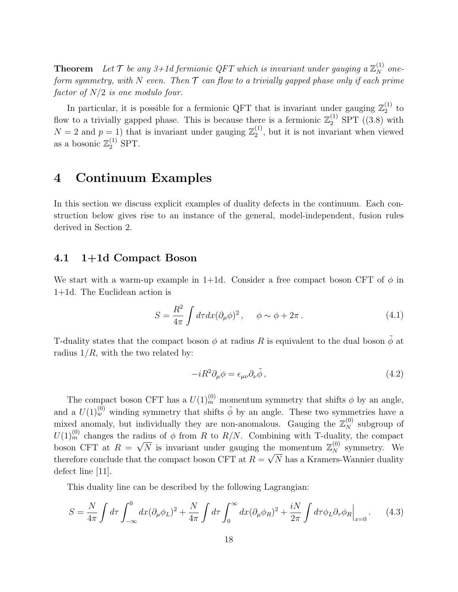**Theorem** Let  $\mathcal{T}$  be any 3+1d fermionic QFT which is invariant under gauging a  $\mathbb{Z}_N^{(1)}$  oneform symmetry, with N even. Then  $\mathcal T$  can flow to a trivially gapped phase only if each prime factor of  $N/2$  is one modulo four.

In particular, it is possible for a fermionic QFT that is invariant under gauging  $\mathbb{Z}_2^{(1)}$  $_2^{(1)}$  to flow to a trivially gapped phase. This is because there is a fermionic  $\mathbb{Z}_2^{(1)}$  SPT ([\(3.8\)](#page-17-1) with  $N=2$  and  $p=1$ ) that is invariant under gauging  $\mathbb{Z}_2^{(1)}$  $_2^{(1)}$ , but it is not invariant when viewed as a bosonic  $\mathbb{Z}_2^{(1)}$  SPT.

## <span id="page-18-0"></span>4 Continuum Examples

In this section we discuss explicit examples of duality defects in the continuum. Each construction below gives rise to an instance of the general, model-independent, fusion rules derived in Section [2.](#page-6-0)

#### <span id="page-18-1"></span>4.1 1+1d Compact Boson

We start with a warm-up example in 1+1d. Consider a free compact boson CFT of  $\phi$  in 1+1d. The Euclidean action is

$$
S = \frac{R^2}{4\pi} \int d\tau dx (\partial_\mu \phi)^2, \quad \phi \sim \phi + 2\pi.
$$
 (4.1)

T-duality states that the compact boson  $\phi$  at radius R is equivalent to the dual boson  $\tilde{\phi}$  at radius  $1/R$ , with the two related by:

<span id="page-18-2"></span>
$$
-iR^2\partial_\mu\phi = \epsilon_{\mu\nu}\partial_\nu\tilde{\phi},\qquad(4.2)
$$

The compact boson CFT has a  $U(1)_{m}^{(0)}$  momentum symmetry that shifts  $\phi$  by an angle, and a  $U(1)<sub>w</sub><sup>(0)</sup>$  winding symmetry that shifts  $\tilde{\phi}$  by an angle. These two symmetries have a mixed anomaly, but individually they are non-anomalous. Gauging the  $\mathbb{Z}_N^{(0)}$  subgroup of  $U(1)_{m}^{(0)}$  changes the radius of  $\phi$  from R to R/N. Combining with T-duality, the compact boson CFT at  $R = \sqrt{N}$  is invariant under gauging the momentum  $\mathbb{Z}_N^{(0)}$  symmetry. We therefore conclude that the compact boson CFT at  $R = \sqrt{N}$  has a Kramers-Wannier duality defect line [\[11\]](#page-36-13).

This duality line can be described by the following Lagrangian:

<span id="page-18-3"></span>
$$
S = \frac{N}{4\pi} \int d\tau \int_{-\infty}^{0} dx (\partial_{\mu}\phi_{L})^{2} + \frac{N}{4\pi} \int d\tau \int_{0}^{\infty} dx (\partial_{\mu}\phi_{R})^{2} + \frac{iN}{2\pi} \int d\tau \phi_{L} \partial_{\tau}\phi_{R} \Big|_{x=0}.
$$
 (4.3)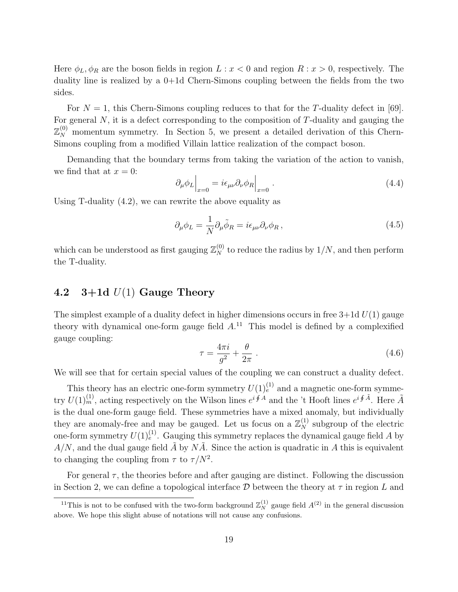Here  $\phi_L, \phi_R$  are the boson fields in region  $L : x < 0$  and region  $R : x > 0$ , respectively. The duality line is realized by a 0+1d Chern-Simons coupling between the fields from the two sides.

For  $N = 1$ , this Chern-Simons coupling reduces to that for the T-duality defect in [\[69\]](#page-39-11). For general  $N$ , it is a defect corresponding to the composition of  $T$ -duality and gauging the  $\mathbb{Z}_N^{(0)}$  momentum symmetry. In Section [5,](#page-23-0) we present a detailed derivation of this Chern-Simons coupling from a modified Villain lattice realization of the compact boson.

Demanding that the boundary terms from taking the variation of the action to vanish, we find that at  $x = 0$ :

$$
\partial_{\mu}\phi_L\Big|_{x=0} = i\epsilon_{\mu\nu}\partial_{\nu}\phi_R\Big|_{x=0}.
$$
\n(4.4)

Using T-duality [\(4.2\)](#page-18-2), we can rewrite the above equality as

$$
\partial_{\mu}\phi_L = \frac{1}{N}\partial_{\mu}\tilde{\phi}_R = i\epsilon_{\mu\nu}\partial_{\nu}\phi_R, \qquad (4.5)
$$

which can be understood as first gauging  $\mathbb{Z}_N^{(0)}$  to reduce the radius by  $1/N$ , and then perform the T-duality.

## <span id="page-19-0"></span>4.2  $3+1d$   $U(1)$  Gauge Theory

The simplest example of a duality defect in higher dimensions occurs in free  $3+1d U(1)$  gauge theory with dynamical one-form gauge field  $A^{11}$  $A^{11}$  $A^{11}$ . This model is defined by a complexified gauge coupling:

$$
\tau = \frac{4\pi i}{g^2} + \frac{\theta}{2\pi} \tag{4.6}
$$

We will see that for certain special values of the coupling we can construct a duality defect.

This theory has an electric one-form symmetry  $U(1)_{e}^{(1)}$  and a magnetic one-form symmetry  $U(1)_{m}^{(1)}$ , acting respectively on the Wilson lines  $e^{i \oint A}$  and the 't Hooft lines  $e^{i \oint \tilde{A}}$ . Here  $\tilde{A}$ is the dual one-form gauge field. These symmetries have a mixed anomaly, but individually they are anomaly-free and may be gauged. Let us focus on a  $\mathbb{Z}_N^{(1)}$  subgroup of the electric one-form symmetry  $U(1)^{(1)}_e$ . Gauging this symmetry replaces the dynamical gauge field A by  $A/N$ , and the dual gauge field A by NA. Since the action is quadratic in A this is equivalent to changing the coupling from  $\tau$  to  $\tau/N^2$ .

For general  $\tau$ , the theories before and after gauging are distinct. Following the discussion in Section [2,](#page-6-0) we can define a topological interface  $\mathcal D$  between the theory at  $\tau$  in region L and

<span id="page-19-1"></span><sup>&</sup>lt;sup>11</sup>This is not to be confused with the two-form background  $\mathbb{Z}_N^{(1)}$  gauge field  $A^{(2)}$  in the general discussion above. We hope this slight abuse of notations will not cause any confusions.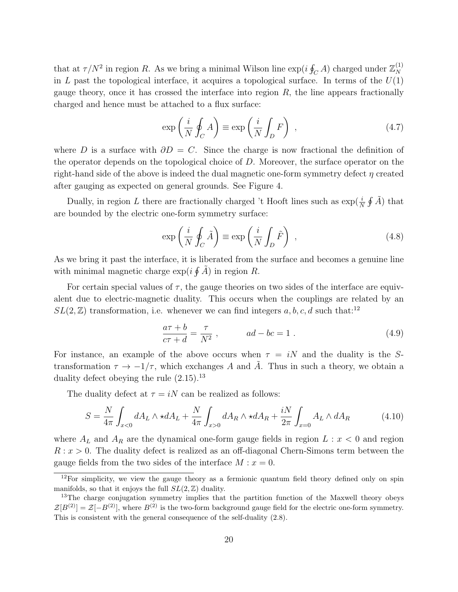that at  $\tau/N^2$  in region R. As we bring a minimal Wilson line  $\exp(i\oint_C A)$  charged under  $\mathbb{Z}_N^{(1)}$ N in L past the topological interface, it acquires a topological surface. In terms of the  $U(1)$ gauge theory, once it has crossed the interface into region  $R$ , the line appears fractionally charged and hence must be attached to a flux surface:

$$
\exp\left(\frac{i}{N}\oint_C A\right) \equiv \exp\left(\frac{i}{N}\int_D F\right) ,\qquad (4.7)
$$

where D is a surface with  $\partial D = C$ . Since the charge is now fractional the definition of the operator depends on the topological choice of D. Moreover, the surface operator on the right-hand side of the above is indeed the dual magnetic one-form symmetry defect  $\eta$  created after gauging as expected on general grounds. See Figure [4.](#page-14-0)

Dually, in region L there are fractionally charged 't Hooft lines such as  $\exp(\frac{i}{N}\oint \tilde{A})$  that are bounded by the electric one-form symmetry surface:

$$
\exp\left(\frac{i}{N}\oint_C \tilde{A}\right) \equiv \exp\left(\frac{i}{N}\int_D \tilde{F}\right) ,\qquad (4.8)
$$

As we bring it past the interface, it is liberated from the surface and becomes a genuine line with minimal magnetic charge  $\exp(i \oint \tilde{A})$  in region R.

For certain special values of  $\tau$ , the gauge theories on two sides of the interface are equivalent due to electric-magnetic duality. This occurs when the couplings are related by an  $SL(2, \mathbb{Z})$  transformation, i.e. whenever we can find integers  $a, b, c, d$  such that:<sup>[12](#page-20-0)</sup>

$$
\frac{a\tau + b}{c\tau + d} = \frac{\tau}{N^2} , \qquad ad - bc = 1 . \qquad (4.9)
$$

For instance, an example of the above occurs when  $\tau = iN$  and the duality is the Stransformation  $\tau \to -1/\tau$ , which exchanges A and A. Thus in such a theory, we obtain a duality defect obeying the rule  $(2.15).^{13}$  $(2.15).^{13}$  $(2.15).^{13}$  $(2.15).^{13}$ 

The duality defect at  $\tau = iN$  can be realized as follows:

<span id="page-20-2"></span>
$$
S = \frac{N}{4\pi} \int_{x<0} dA_L \wedge \star dA_L + \frac{N}{4\pi} \int_{x>0} dA_R \wedge \star dA_R + \frac{iN}{2\pi} \int_{x=0} A_L \wedge dA_R \tag{4.10}
$$

where  $A_L$  and  $A_R$  are the dynamical one-form gauge fields in region  $L : x < 0$  and region  $R: x > 0$ . The duality defect is realized as an off-diagonal Chern-Simons term between the gauge fields from the two sides of the interface  $M : x = 0$ .

<span id="page-20-0"></span> $12$ For simplicity, we view the gauge theory as a fermionic quantum field theory defined only on spin manifolds, so that it enjoys the full  $SL(2, \mathbb{Z})$  duality.

<span id="page-20-1"></span><sup>&</sup>lt;sup>13</sup>The charge conjugation symmetry implies that the partition function of the Maxwell theory obeys  $\mathcal{Z}[B^{(2)}] = \mathcal{Z}[-B^{(2)}]$ , where  $B^{(2)}$  is the two-form background gauge field for the electric one-form symmetry. This is consistent with the general consequence of the self-duality [\(2.8\)](#page-9-1).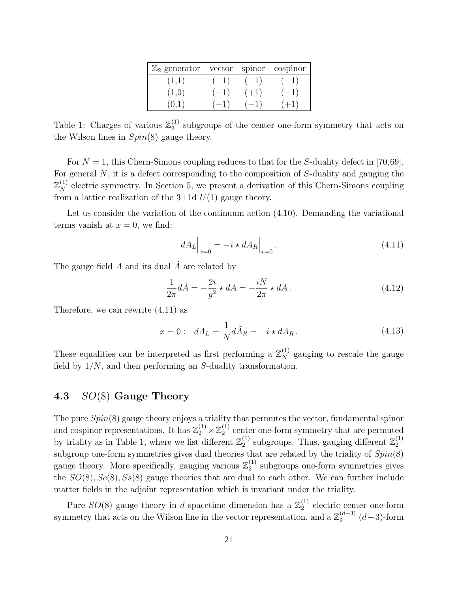| $\mathbb{Z}_2$ generator | vector | spinor | cospinor |
|--------------------------|--------|--------|----------|
| (1,1)                    | $(+1)$ | $(-1)$ | $(-1)$   |
| (1,0)                    | $(-1)$ | $(+1)$ | $(-1)$   |
| (0.1)                    |        | $-1)$  | $+1$     |

<span id="page-21-2"></span>Table 1: Charges of various  $\mathbb{Z}_2^{(1)}$  $_2^{(1)}$  subgroups of the center one-form symmetry that acts on the Wilson lines in Spin(8) gauge theory.

For  $N = 1$ , this Chern-Simons coupling reduces to that for the S-duality defect in [\[70,](#page-39-12)[69\]](#page-39-11). For general  $N$ , it is a defect corresponding to the composition of  $S$ -duality and gauging the  $\mathbb{Z}_N^{(1)}$  electric symmetry. In Section [5,](#page-23-0) we present a derivation of this Chern-Simons coupling from a lattice realization of the  $3+1d$   $U(1)$  gauge theory.

Let us consider the variation of the continuum action [\(4.10\)](#page-20-2). Demanding the variational terms vanish at  $x = 0$ , we find:

<span id="page-21-1"></span>
$$
dA_L\Big|_{x=0} = -i \star dA_R\Big|_{x=0}.\tag{4.11}
$$

The gauge field  $A$  and its dual  $\tilde{A}$  are related by

$$
\frac{1}{2\pi}d\tilde{A} = -\frac{2i}{g^2} \star dA = -\frac{iN}{2\pi} \star dA. \tag{4.12}
$$

Therefore, we can rewrite [\(4.11\)](#page-21-1) as

$$
x = 0: dA_L = \frac{1}{N} d\tilde{A}_R = -i \star dA_R.
$$
 (4.13)

These equalities can be interpreted as first performing a  $\mathbb{Z}_N^{(1)}$  gauging to rescale the gauge field by  $1/N$ , and then performing an S-duality transformation.

## <span id="page-21-0"></span>4.3 SO(8) Gauge Theory

The pure Spin(8) gauge theory enjoys a triality that permutes the vector, fundamental spinor and cospinor representations. It has  $\mathbb{Z}_2^{(1)} \times \mathbb{Z}_2^{(1)}$  $_2^{(1)}$  center one-form symmetry that are permuted by triality as in Table [1,](#page-21-2) where we list different  $\mathbb{Z}_2^{(1)}$  $_2^{(1)}$  subgroups. Thus, gauging different  $\mathbb{Z}_2^{(1)}$ 2 subgroup one-form symmetries gives dual theories that are related by the triality of  $Spin(8)$ gauge theory. More specifically, gauging various  $\mathbb{Z}_2^{(1)}$  $_2^{(1)}$  subgroups one-form symmetries gives the  $SO(8), Sc(8), S_s(8)$  gauge theories that are dual to each other. We can further include matter fields in the adjoint representation which is invariant under the triality.

Pure  $SO(8)$  gauge theory in d spacetime dimension has a  $\mathbb{Z}_2^{(1)}$  $_2^{(1)}$  electric center one-form symmetry that acts on the Wilson line in the vector representation, and a  $\mathbb{Z}_2^{(d-3)}$  $a^{(a-3)}$  (d-3)-form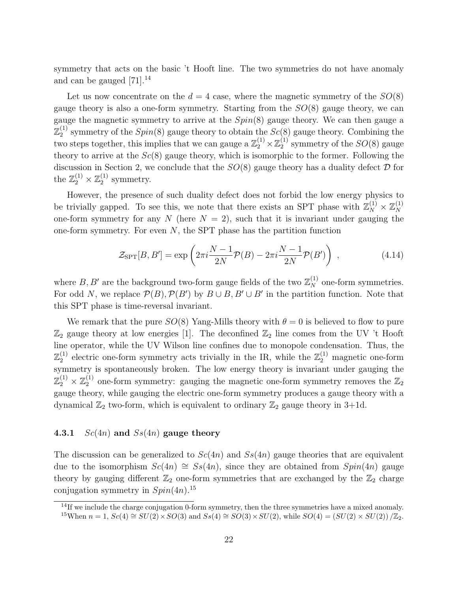symmetry that acts on the basic 't Hooft line. The two symmetries do not have anomaly and can be gauged  $[71]$ .<sup>[14](#page-22-1)</sup>

Let us now concentrate on the  $d = 4$  case, where the magnetic symmetry of the  $SO(8)$ gauge theory is also a one-form symmetry. Starting from the  $SO(8)$  gauge theory, we can gauge the magnetic symmetry to arrive at the  $Spin(8)$  gauge theory. We can then gauge a  $\mathbb{Z}_2^{(1)}$  $2^{(1)}$  symmetry of the  $Spin(8)$  gauge theory to obtain the  $Sc(8)$  gauge theory. Combining the two steps together, this implies that we can gauge a  $\mathbb{Z}_2^{(1)} \times \mathbb{Z}_2^{(1)}$  $_2^{(1)}$  symmetry of the  $SO(8)$  gauge theory to arrive at the  $Sc(8)$  gauge theory, which is isomorphic to the former. Following the discussion in Section [2,](#page-6-0) we conclude that the  $SO(8)$  gauge theory has a duality defect  $\mathcal D$  for the  $\mathbb{Z}_2^{(1)} \times \mathbb{Z}_2^{(1)}$  $_2^{(1)}$  symmetry.

However, the presence of such duality defect does not forbid the low energy physics to be trivially gapped. To see this, we note that there exists an SPT phase with  $\mathbb{Z}_N^{(1)} \times \mathbb{Z}_N^{(1)}$ N one-form symmetry for any N (here  $N = 2$ ), such that it is invariant under gauging the one-form symmetry. For even  $N$ , the SPT phase has the partition function

$$
\mathcal{Z}_{\rm SPT}[B,B'] = \exp\left(2\pi i \frac{N-1}{2N} \mathcal{P}(B) - 2\pi i \frac{N-1}{2N} \mathcal{P}(B')\right) ,\qquad (4.14)
$$

where  $B, B'$  are the background two-form gauge fields of the two  $\mathbb{Z}_N^{(1)}$  one-form symmetries. For odd N, we replace  $\mathcal{P}(B), \mathcal{P}(B')$  by  $B \cup B, B' \cup B'$  in the partition function. Note that this SPT phase is time-reversal invariant.

We remark that the pure  $SO(8)$  Yang-Mills theory with  $\theta = 0$  is believed to flow to pure  $\mathbb{Z}_2$  gauge theory at low energies [\[1\]](#page-35-0). The deconfined  $\mathbb{Z}_2$  line comes from the UV 't Hooft line operator, while the UV Wilson line confines due to monopole condensation. Thus, the  $\mathbb{Z}_2^{(1)}$  $_2^{(1)}$  electric one-form symmetry acts trivially in the IR, while the  $\mathbb{Z}_2^{(1)}$  magnetic one-form symmetry is spontaneously broken. The low energy theory is invariant under gauging the  $\Z_{2}^{(1)}\times \Z_{2}^{(1)}$  $\mathbb{Z}_2^{(1)}$  one-form symmetry: gauging the magnetic one-form symmetry removes the  $\mathbb{Z}_2$ gauge theory, while gauging the electric one-form symmetry produces a gauge theory with a dynamical  $\mathbb{Z}_2$  two-form, which is equivalent to ordinary  $\mathbb{Z}_2$  gauge theory in 3+1d.

#### <span id="page-22-0"></span>4.3.1  $Sc(4n)$  and  $Ss(4n)$  gauge theory

The discussion can be generalized to  $Sc(4n)$  and  $Ss(4n)$  gauge theories that are equivalent due to the isomorphism  $Sc(4n) \cong Ss(4n)$ , since they are obtained from  $Spin(4n)$  gauge theory by gauging different  $\mathbb{Z}_2$  one-form symmetries that are exchanged by the  $\mathbb{Z}_2$  charge conjugation symmetry in  $Spin(4n).$ <sup>[15](#page-22-2)</sup>

<span id="page-22-2"></span><span id="page-22-1"></span> $14$ If we include the charge conjugation 0-form symmetry, then the three symmetries have a mixed anomaly. <sup>15</sup>When  $n = 1$ ,  $Sc(4) \cong SU(2) \times SO(3)$  and  $S_s(4) \cong SO(3) \times SU(2)$ , while  $SO(4) = (SU(2) \times SU(2)) / \mathbb{Z}_2$ .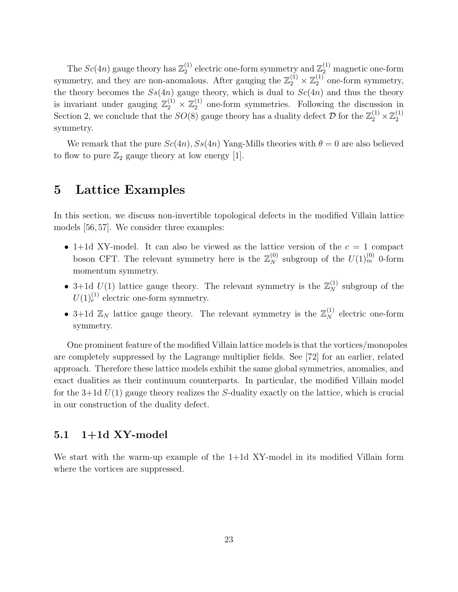The  $Sc(4n)$  gauge theory has  $\mathbb{Z}_2^{(1)}$ <sup>(1)</sup> electric one-form symmetry and  $\mathbb{Z}_2^{(1)}$  magnetic one-form symmetry, and they are non-anomalous. After gauging the  $\mathbb{Z}_2^{(1)} \times \mathbb{Z}_2^{(1)}$  $2^{(1)}$  one-form symmetry, the theory becomes the  $S_s(4n)$  gauge theory, which is dual to  $Sc(4n)$  and thus the theory is invariant under gauging  $\mathbb{Z}_2^{(1)} \times \mathbb{Z}_2^{(1)}$  $_2^{(1)}$  one-form symmetries. Following the discussion in Section [2,](#page-6-0) we conclude that the  $SO(8)$  gauge theory has a duality defect  $\mathcal{D}$  for the  $\mathbb{Z}_2^{(1)} \times \mathbb{Z}_2^{(1)}$ 2 symmetry.

We remark that the pure  $Sc(4n)$ ,  $Ss(4n)$  Yang-Mills theories with  $\theta = 0$  are also believed to flow to pure  $\mathbb{Z}_2$  gauge theory at low energy [\[1\]](#page-35-0).

## <span id="page-23-0"></span>5 Lattice Examples

In this section, we discuss non-invertible topological defects in the modified Villain lattice models [\[56,](#page-38-10) [57\]](#page-39-0). We consider three examples:

- 1+1d XY-model. It can also be viewed as the lattice version of the  $c = 1$  compact boson CFT. The relevant symmetry here is the  $\mathbb{Z}_N^{(0)}$  subgroup of the  $U(1)_m^{(0)}$  0-form momentum symmetry.
- 3+1d  $U(1)$  lattice gauge theory. The relevant symmetry is the  $\mathbb{Z}_N^{(1)}$  subgroup of the  $U(1)<sub>e</sub><sup>(1)</sup>$  electric one-form symmetry.
- 3+1d  $\mathbb{Z}_N$  lattice gauge theory. The relevant symmetry is the  $\mathbb{Z}_N^{(1)}$  electric one-form symmetry.

One prominent feature of the modified Villain lattice models is that the vortices/monopoles are completely suppressed by the Lagrange multiplier fields. See [\[72\]](#page-39-14) for an earlier, related approach. Therefore these lattice models exhibit the same global symmetries, anomalies, and exact dualities as their continuum counterparts. In particular, the modified Villain model for the 3+1d  $U(1)$  gauge theory realizes the S-duality exactly on the lattice, which is crucial in our construction of the duality defect.

#### <span id="page-23-1"></span> $5.1 \quad 1+1d$  XY-model

We start with the warm-up example of the 1+1d XY-model in its modified Villain form where the vortices are suppressed.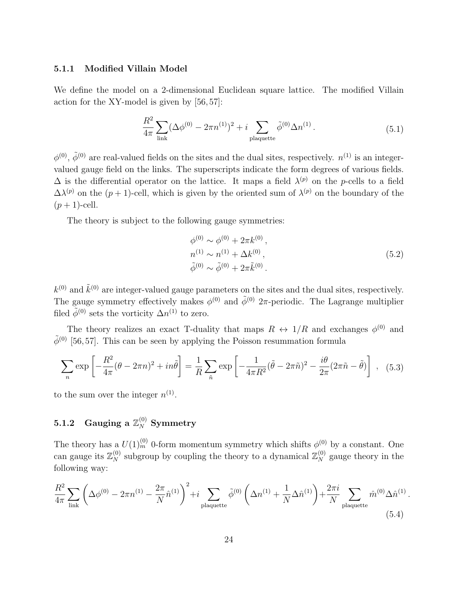#### <span id="page-24-0"></span>5.1.1 Modified Villain Model

We define the model on a 2-dimensional Euclidean square lattice. The modified Villain action for the XY-model is given by [\[56,](#page-38-10) [57\]](#page-39-0):

<span id="page-24-2"></span>
$$
\frac{R^2}{4\pi} \sum_{\text{link}} (\Delta \phi^{(0)} - 2\pi n^{(1)})^2 + i \sum_{\text{plaquette}} \tilde{\phi}^{(0)} \Delta n^{(1)}.
$$
 (5.1)

 $\phi^{(0)}$ ,  $\tilde{\phi}^{(0)}$  are real-valued fields on the sites and the dual sites, respectively.  $n^{(1)}$  is an integervalued gauge field on the links. The superscripts indicate the form degrees of various fields.  $\Delta$  is the differential operator on the lattice. It maps a field  $\lambda^{(p)}$  on the p-cells to a field  $\Delta\lambda^{(p)}$  on the  $(p+1)$ -cell, which is given by the oriented sum of  $\lambda^{(p)}$  on the boundary of the  $(p+1)$ -cell.

The theory is subject to the following gauge symmetries:

$$
\begin{aligned}\n\phi^{(0)} &\sim \phi^{(0)} + 2\pi k^{(0)}, \\
n^{(1)} &\sim n^{(1)} + \Delta k^{(0)}, \\
\tilde{\phi}^{(0)} &\sim \tilde{\phi}^{(0)} + 2\pi \tilde{k}^{(0)}.\n\end{aligned} \tag{5.2}
$$

.

 $k^{(0)}$  and  $\tilde{k}^{(0)}$  are integer-valued gauge parameters on the sites and the dual sites, respectively. The gauge symmetry effectively makes  $\phi^{(0)}$  and  $\tilde{\phi}^{(0)}$  2π-periodic. The Lagrange multiplier filed  $\tilde{\phi}^{(0)}$  sets the vorticity  $\Delta n^{(1)}$  to zero.

The theory realizes an exact T-duality that maps  $R \leftrightarrow 1/R$  and exchanges  $\phi^{(0)}$  and  $\tilde{\phi}^{(0)}$  [\[56,](#page-38-10) [57\]](#page-39-0). This can be seen by applying the Poisson resummation formula

<span id="page-24-4"></span>
$$
\sum_{n} \exp\left[-\frac{R^2}{4\pi}(\theta - 2\pi n)^2 + in\tilde{\theta}\right] = \frac{1}{R} \sum_{\tilde{n}} \exp\left[-\frac{1}{4\pi R^2}(\tilde{\theta} - 2\pi \tilde{n})^2 - \frac{i\theta}{2\pi}(2\pi \tilde{n} - \tilde{\theta})\right], \quad (5.3)
$$

to the sum over the integer  $n^{(1)}$ .

## <span id="page-24-1"></span> $\mathbf{5.1.2} \quad \mathbf{Gauging} \,\, \mathrm{a} \,\, \mathbb{Z}_N^{(0)} \,\, \mathbf{Symmetry}$

The theory has a  $U(1)_{m}^{(0)}$  0-form momentum symmetry which shifts  $\phi^{(0)}$  by a constant. One can gauge its  $\mathbb{Z}_N^{(0)}$  subgroup by coupling the theory to a dynamical  $\mathbb{Z}_N^{(0)}$  gauge theory in the following way:

<span id="page-24-3"></span>
$$
\frac{R^2}{4\pi} \sum_{\text{link}} \left( \Delta\phi^{(0)} - 2\pi n^{(1)} - \frac{2\pi}{N} \hat{n}^{(1)} \right)^2 + i \sum_{\text{plaquette}} \tilde{\phi}^{(0)} \left( \Delta n^{(1)} + \frac{1}{N} \Delta \hat{n}^{(1)} \right) + \frac{2\pi i}{N} \sum_{\text{plaquette}} \hat{m}^{(0)} \Delta \hat{n}^{(1)} \tag{5.4}
$$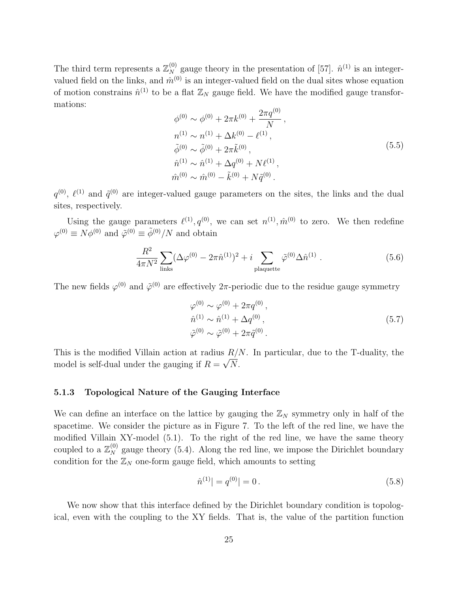The third term represents a  $\mathbb{Z}_N^{(0)}$  gauge theory in the presentation of [\[57\]](#page-39-0).  $\hat{n}^{(1)}$  is an integervalued field on the links, and  $\hat{m}^{(0)}$  is an integer-valued field on the dual sites whose equation of motion constrains  $\hat{n}^{(1)}$  to be a flat  $\mathbb{Z}_N$  gauge field. We have the modified gauge transformations:

$$
\phi^{(0)} \sim \phi^{(0)} + 2\pi k^{(0)} + \frac{2\pi q^{(0)}}{N},
$$
  
\n
$$
n^{(1)} \sim n^{(1)} + \Delta k^{(0)} - \ell^{(1)},
$$
  
\n
$$
\tilde{\phi}^{(0)} \sim \tilde{\phi}^{(0)} + 2\pi \tilde{k}^{(0)},
$$
  
\n
$$
\hat{n}^{(1)} \sim \hat{n}^{(1)} + \Delta q^{(0)} + N\ell^{(1)},
$$
  
\n
$$
\hat{m}^{(0)} \sim \hat{m}^{(0)} - \tilde{k}^{(0)} + N\tilde{q}^{(0)}.
$$
\n(5.5)

 $q^{(0)}$ ,  $\ell^{(1)}$  and  $\tilde{q}^{(0)}$  are integer-valued gauge parameters on the sites, the links and the dual sites, respectively.

Using the gauge parameters  $\ell^{(1)}, q^{(0)}$ , we can set  $n^{(1)}, \hat{m}^{(0)}$  to zero. We then redefine  $\varphi^{(0)} \equiv N\phi^{(0)}$  and  $\tilde{\varphi}^{(0)} \equiv \tilde{\phi}^{(0)}/N$  and obtain

$$
\frac{R^2}{4\pi N^2} \sum_{\text{links}} (\Delta \varphi^{(0)} - 2\pi \hat{n}^{(1)})^2 + i \sum_{\text{plaquette}} \tilde{\varphi}^{(0)} \Delta \hat{n}^{(1)}.
$$
 (5.6)

The new fields  $\varphi^{(0)}$  and  $\tilde{\varphi}^{(0)}$  are effectively 2 $\pi$ -periodic due to the residue gauge symmetry

<span id="page-25-1"></span>
$$
\varphi^{(0)} \sim \varphi^{(0)} + 2\pi q^{(0)}, \n\hat{n}^{(1)} \sim \hat{n}^{(1)} + \Delta q^{(0)}, \n\tilde{\varphi}^{(0)} \sim \tilde{\varphi}^{(0)} + 2\pi \tilde{q}^{(0)}.
$$
\n(5.7)

This is the modified Villain action at radius  $R/N$ . In particular, due to the T-duality, the model is self-dual under the gauging if  $R = \sqrt{N}$ .

#### <span id="page-25-0"></span>5.1.3 Topological Nature of the Gauging Interface

We can define an interface on the lattice by gauging the  $\mathbb{Z}_N$  symmetry only in half of the spacetime. We consider the picture as in Figure [7.](#page-26-0) To the left of the red line, we have the modified Villain XY-model [\(5.1\)](#page-24-2). To the right of the red line, we have the same theory coupled to a  $\mathbb{Z}_N^{(0)}$  gauge theory [\(5.4\)](#page-24-3). Along the red line, we impose the Dirichlet boundary condition for the  $\mathbb{Z}_N$  one-form gauge field, which amounts to setting

$$
\hat{n}^{(1)}| = q^{(0)}| = 0. \tag{5.8}
$$

We now show that this interface defined by the Dirichlet boundary condition is topological, even with the coupling to the XY fields. That is, the value of the partition function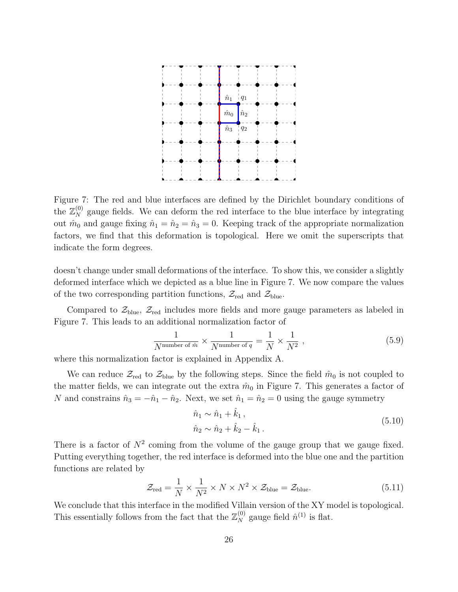

<span id="page-26-0"></span>Figure 7: The red and blue interfaces are defined by the Dirichlet boundary conditions of the  $\mathbb{Z}_N^{(0)}$  gauge fields. We can deform the red interface to the blue interface by integrating out  $\hat{m}_0$  and gauge fixing  $\hat{n}_1 = \hat{n}_2 = \hat{n}_3 = 0$ . Keeping track of the appropriate normalization factors, we find that this deformation is topological. Here we omit the superscripts that indicate the form degrees.

doesn't change under small deformations of the interface. To show this, we consider a slightly deformed interface which we depicted as a blue line in Figure [7.](#page-26-0) We now compare the values of the two corresponding partition functions,  $\mathcal{Z}_{red}$  and  $\mathcal{Z}_{blue}$ .

Compared to  $\mathcal{Z}_{blue}$ ,  $\mathcal{Z}_{red}$  includes more fields and more gauge parameters as labeled in Figure [7.](#page-26-0) This leads to an additional normalization factor of

$$
\frac{1}{N^{\text{number of }\hat{m}}} \times \frac{1}{N^{\text{number of }q}} = \frac{1}{N} \times \frac{1}{N^2} , \qquad (5.9)
$$

where this normalization factor is explained in Appendix [A.](#page-33-0)

We can reduce  $\mathcal{Z}_{red}$  to  $\mathcal{Z}_{blue}$  by the following steps. Since the field  $\hat{m}_0$  is not coupled to the matter fields, we can integrate out the extra  $\hat{m}_0$  in Figure [7.](#page-26-0) This generates a factor of N and constrains  $\hat{n}_3 = -\hat{n}_1 - \hat{n}_2$ . Next, we set  $\hat{n}_1 = \hat{n}_2 = 0$  using the gauge symmetry

$$
\hat{n}_1 \sim \hat{n}_1 + \hat{k}_1, \n\hat{n}_2 \sim \hat{n}_2 + \hat{k}_2 - \hat{k}_1.
$$
\n(5.10)

There is a factor of  $N^2$  coming from the volume of the gauge group that we gauge fixed. Putting everything together, the red interface is deformed into the blue one and the partition functions are related by

$$
\mathcal{Z}_{\text{red}} = \frac{1}{N} \times \frac{1}{N^2} \times N \times N^2 \times \mathcal{Z}_{\text{blue}} = \mathcal{Z}_{\text{blue}}.
$$
 (5.11)

We conclude that this interface in the modified Villain version of the XY model is topological. This essentially follows from the fact that the  $\mathbb{Z}_N^{(0)}$  gauge field  $\hat{n}^{(1)}$  is flat.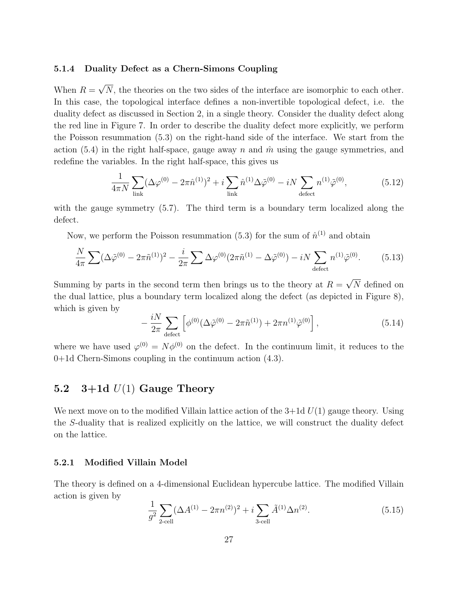#### <span id="page-27-0"></span>5.1.4 Duality Defect as a Chern-Simons Coupling

When  $R = \sqrt{N}$ , the theories on the two sides of the interface are isomorphic to each other. In this case, the topological interface defines a non-invertible topological defect, i.e. the duality defect as discussed in Section [2,](#page-6-0) in a single theory. Consider the duality defect along the red line in Figure [7.](#page-26-0) In order to describe the duality defect more explicitly, we perform the Poisson resummation [\(5.3\)](#page-24-4) on the right-hand side of the interface. We start from the action [\(5.4\)](#page-24-3) in the right half-space, gauge away n and  $\hat{m}$  using the gauge symmetries, and redefine the variables. In the right half-space, this gives us

$$
\frac{1}{4\pi N} \sum_{\text{link}} (\Delta \varphi^{(0)} - 2\pi \hat{n}^{(1)})^2 + i \sum_{\text{link}} \hat{n}^{(1)} \Delta \tilde{\varphi}^{(0)} - iN \sum_{\text{defect}} n^{(1)} \tilde{\varphi}^{(0)},\tag{5.12}
$$

with the gauge symmetry [\(5.7\)](#page-25-1). The third term is a boundary term localized along the defect.

Now, we perform the Poisson resummation [\(5.3\)](#page-24-4) for the sum of  $\hat{n}^{(1)}$  and obtain

$$
\frac{N}{4\pi} \sum (\Delta \tilde{\varphi}^{(0)} - 2\pi \tilde{n}^{(1)})^2 - \frac{i}{2\pi} \sum \Delta \varphi^{(0)} (2\pi \tilde{n}^{(1)} - \Delta \tilde{\varphi}^{(0)}) - iN \sum_{\text{defect}} n^{(1)} \tilde{\varphi}^{(0)}.
$$
 (5.13)

Summing by parts in the second term then brings us to the theory at  $R = \sqrt{N}$  defined on the dual lattice, plus a boundary term localized along the defect (as depicted in Figure [8\)](#page-28-0), which is given by

<span id="page-27-3"></span>
$$
-\frac{iN}{2\pi} \sum_{\text{defect}} \left[ \phi^{(0)} (\Delta \tilde{\varphi}^{(0)} - 2\pi \tilde{n}^{(1)}) + 2\pi n^{(1)} \tilde{\varphi}^{(0)} \right],\tag{5.14}
$$

where we have used  $\varphi^{(0)} = N\phi^{(0)}$  on the defect. In the continuum limit, it reduces to the 0+1d Chern-Simons coupling in the continuum action [\(4.3\)](#page-18-3).

## <span id="page-27-1"></span>5.2  $3+1d$   $U(1)$  Gauge Theory

We next move on to the modified Villain lattice action of the  $3+1d U(1)$  gauge theory. Using the S-duality that is realized explicitly on the lattice, we will construct the duality defect on the lattice.

#### <span id="page-27-2"></span>5.2.1 Modified Villain Model

The theory is defined on a 4-dimensional Euclidean hypercube lattice. The modified Villain action is given by

$$
\frac{1}{g^2} \sum_{2\text{cell}} (\Delta A^{(1)} - 2\pi n^{(2)})^2 + i \sum_{3\text{cell}} \tilde{A}^{(1)} \Delta n^{(2)}.
$$
 (5.15)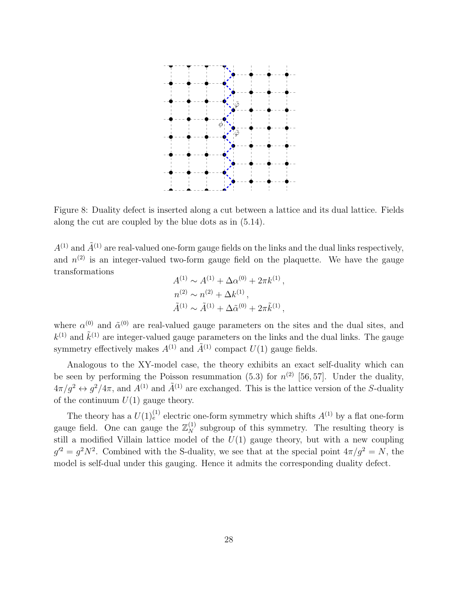

<span id="page-28-0"></span>Figure 8: Duality defect is inserted along a cut between a lattice and its dual lattice. Fields along the cut are coupled by the blue dots as in [\(5.14\)](#page-27-3).

 $A^{(1)}$  and  $\tilde{A}^{(1)}$  are real-valued one-form gauge fields on the links and the dual links respectively, and  $n^{(2)}$  is an integer-valued two-form gauge field on the plaquette. We have the gauge transformations

$$
A^{(1)} \sim A^{(1)} + \Delta \alpha^{(0)} + 2\pi k^{(1)},
$$
  
\n
$$
n^{(2)} \sim n^{(2)} + \Delta k^{(1)},
$$
  
\n
$$
\tilde{A}^{(1)} \sim \tilde{A}^{(1)} + \Delta \tilde{\alpha}^{(0)} + 2\pi \tilde{k}^{(1)},
$$

where  $\alpha^{(0)}$  and  $\tilde{\alpha}^{(0)}$  are real-valued gauge parameters on the sites and the dual sites, and  $k^{(1)}$  and  $\tilde{k}^{(1)}$  are integer-valued gauge parameters on the links and the dual links. The gauge symmetry effectively makes  $A^{(1)}$  and  $\tilde{A}^{(1)}$  compact  $U(1)$  gauge fields.

Analogous to the XY-model case, the theory exhibits an exact self-duality which can be seen by performing the Poisson resummation [\(5.3\)](#page-24-4) for  $n^{(2)}$  [\[56,](#page-38-10) [57\]](#page-39-0). Under the duality,  $4\pi/g^2 \leftrightarrow g^2/4\pi$ , and  $A^{(1)}$  and  $\tilde{A}^{(1)}$  are exchanged. This is the lattice version of the S-duality of the continuum  $U(1)$  gauge theory.

The theory has a  $U(1)_{e}^{(1)}$  electric one-form symmetry which shifts  $A^{(1)}$  by a flat one-form gauge field. One can gauge the  $\mathbb{Z}_N^{(1)}$  subgroup of this symmetry. The resulting theory is still a modified Villain lattice model of the  $U(1)$  gauge theory, but with a new coupling  $g^2 = g^2 N^2$ . Combined with the S-duality, we see that at the special point  $4\pi/g^2 = N$ , the model is self-dual under this gauging. Hence it admits the corresponding duality defect.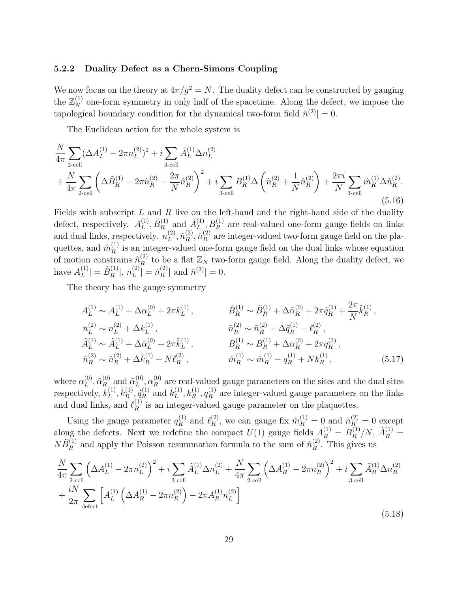#### <span id="page-29-0"></span>5.2.2 Duality Defect as a Chern-Simons Coupling

We now focus on the theory at  $4\pi/g^2 = N$ . The duality defect can be constructed by gauging the  $\mathbb{Z}_N^{(1)}$  one-form symmetry in only half of the spacetime. Along the defect, we impose the topological boundary condition for the dynamical two-form field  $\hat{n}^{(2)}$  = 0.

The Euclidean action for the whole system is

$$
\frac{N}{4\pi} \sum_{2\text{-cell}} (\Delta A_L^{(1)} - 2\pi n_L^{(2)})^2 + i \sum_{3\text{-cell}} \tilde{A}_L^{(1)} \Delta n_L^{(2)} \n+ \frac{N}{4\pi} \sum_{2\text{cell}} \left( \Delta \tilde{B}_R^{(1)} - 2\pi \tilde{n}_R^{(2)} - \frac{2\pi}{N} \hat{n}_R^{(2)} \right)^2 + i \sum_{3\text{cell}} B_R^{(1)} \Delta \left( \tilde{n}_R^{(2)} + \frac{1}{N} \hat{n}_R^{(2)} \right) + \frac{2\pi i}{N} \sum_{3\text{cell}} \hat{m}_R^{(1)} \Delta \hat{n}_R^{(2)}.
$$
\n(5.16)

Fields with subscript  $L$  and  $R$  live on the left-hand and the right-hand side of the duality defect, respectively.  $A_L^{(1)}$  $\tilde{B}_R^{(1)}, \tilde{B}_R^{(1)}$  $\tilde{A}_L^{(1)}$  and  $\tilde{A}_L^{(1)}$  $L^{(1)}$ ,  $B_R^{(1)}$  are real-valued one-form gauge fields on links and dual links, respectively.  $n_L^{(2)}$  $_L^{(2)}, \tilde{n}_R^{(2)}$  $\overset{(2)}{R},\overset{\hat{n}}{n}_R^{(2)}$  $R^{(2)}$  are integer-valued two-form gauge field on the plaquettes, and  $\hat{m}_R^{(1)}$  $\mathbb{R}^{(1)}$  is an integer-valued one-form gauge field on the dual links whose equation of motion constrains  $\hat{n}_R^{(2)}$  $\mathcal{L}_{R}^{(2)}$  to be a flat  $\mathbb{Z}_{N}$  two-form gauge field. Along the duality defect, we have  $A_L^{(1)}$  $\left| \begin{smallmatrix} (1) \ L \end{smallmatrix} \right| = \tilde{B}_R^{(1)}$  $\binom{1}{R}, n_L^{(2)}$  $\binom{2}{L} = \tilde{n}_R^{(2)}$  $\hat{n}^{(2)}$  and  $\hat{n}^{(2)}$  = 0.

The theory has the gauge symmetry

$$
A_L^{(1)} \sim A_L^{(1)} + \Delta \alpha_L^{(0)} + 2\pi k_L^{(1)}, \qquad \tilde{B}_R^{(1)} \sim \tilde{B}_R^{(1)} + \Delta \tilde{\alpha}_R^{(0)} + 2\pi \tilde{q}_R^{(1)} + \frac{2\pi}{N} \tilde{k}_R^{(1)},
$$
  
\n
$$
n_L^{(2)} \sim n_L^{(2)} + \Delta k_L^{(1)}, \qquad \tilde{n}_R^{(2)} \sim \tilde{n}_R^{(2)} + \Delta \tilde{q}_R^{(1)} - \ell_R^{(2)},
$$
  
\n
$$
\tilde{A}_L^{(1)} \sim \tilde{A}_L^{(1)} + \Delta \tilde{\alpha}_L^{(0)} + 2\pi \tilde{k}_L^{(1)}, \qquad B_R^{(1)} \sim B_R^{(1)} + \Delta \alpha_R^{(0)} + 2\pi q_R^{(1)},
$$
  
\n
$$
\hat{n}_R^{(2)} \sim \hat{n}_R^{(2)} + \Delta \tilde{k}_R^{(1)} + N \ell_R^{(2)}, \qquad \hat{m}_R^{(1)} \sim \hat{m}_R^{(1)} - q_R^{(1)} + N k_R^{(1)}, \qquad (5.17)
$$

where  $\alpha_L^{(0)}$  $_L^{(0)}, \tilde{\alpha}_R^{(0)}$  $\tilde{\alpha}_L^{(0)}$  and  $\tilde{\alpha}_L^{(0)}$  $\overset{(0)}{L}, \overset{(0)}{\alpha_R^{(0)}}$  $R_{R}^{(0)}$  are real-valued gauge parameters on the sites and the dual sites respectively,  $k_L^{(1)}$  $\tilde{k}_L^{(1)}, \tilde{k}_R^{(1)}$  $\tilde{q}_R^{(1)}, \tilde{q}_R^{(1)}$  $\tilde{k}_L^{(1)}$  and  $\tilde{k}_L^{(1)}$  $\hat{h}_L^{(1)}, \hat{k}_R^{(1)}, q_R^{(1)}$  $R_{R}^{(1)}$  are integer-valued gauge parameters on the links and dual links, and  $\ell_R^{(1)}$  $R<sup>(1)</sup>$  is an integer-valued gauge parameter on the plaquettes.

Using the gauge parameter  $q_R^{(1)}$  $\ell_R^{(1)}$  and  $\ell_R^{(2)}$  $\hat{n}_R^{(2)}$ , we can gauge fix  $\hat{m}_R^{(1)} = 0$  and  $\tilde{n}_R^{(2)} = 0$  except along the defects. Next we redefine the compact  $U(1)$  gauge fields  $A_R^{(1)} = B_R^{(1)}$  $\tilde{A}_R^{(1)}/N$ ,  $\tilde{A}_R^{(1)} =$  $N \tilde{B}_R^{(1)}$  $\hat{R}^{(1)}$  and apply the Poisson resummation formula to the sum of  $\hat{n}_R^{(2)}$  $R^{(2)}$ . This gives us

<span id="page-29-1"></span>
$$
\frac{N}{4\pi} \sum_{2\text{cell}} \left( \Delta A_L^{(1)} - 2\pi n_L^{(2)} \right)^2 + i \sum_{3\text{cell}} \tilde{A}_L^{(1)} \Delta n_L^{(2)} + \frac{N}{4\pi} \sum_{2\text{cell}} \left( \Delta A_R^{(1)} - 2\pi n_R^{(2)} \right)^2 + i \sum_{3\text{cell}} \tilde{A}_R^{(1)} \Delta n_R^{(2)} + \frac{iN}{2\pi} \sum_{\text{defect}} \left[ A_L^{(1)} \left( \Delta A_R^{(1)} - 2\pi n_R^{(2)} \right) - 2\pi A_R^{(1)} n_L^{(2)} \right]
$$
\n
$$
(5.18)
$$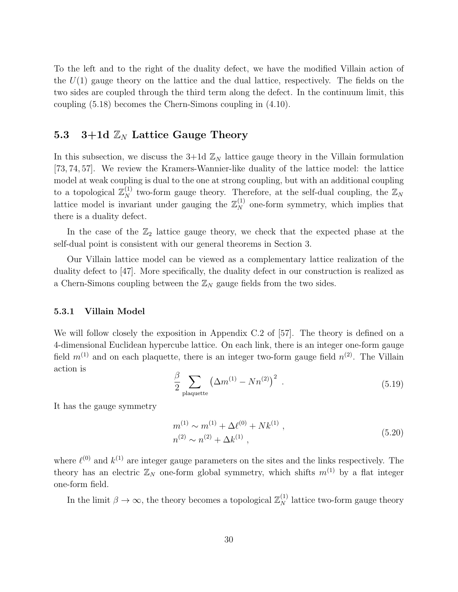To the left and to the right of the duality defect, we have the modified Villain action of the  $U(1)$  gauge theory on the lattice and the dual lattice, respectively. The fields on the two sides are coupled through the third term along the defect. In the continuum limit, this coupling [\(5.18\)](#page-29-1) becomes the Chern-Simons coupling in [\(4.10\)](#page-20-2).

## <span id="page-30-0"></span>5.3 3+1d  $\mathbb{Z}_N$  Lattice Gauge Theory

In this subsection, we discuss the 3+1d  $\mathbb{Z}_N$  lattice gauge theory in the Villain formulation [\[73,](#page-40-0) [74,](#page-40-1) [57\]](#page-39-0). We review the Kramers-Wannier-like duality of the lattice model: the lattice model at weak coupling is dual to the one at strong coupling, but with an additional coupling to a topological  $\mathbb{Z}_N^{(1)}$  two-form gauge theory. Therefore, at the self-dual coupling, the  $\mathbb{Z}_N$ lattice model is invariant under gauging the  $\mathbb{Z}_N^{(1)}$  one-form symmetry, which implies that there is a duality defect.

In the case of the  $\mathbb{Z}_2$  lattice gauge theory, we check that the expected phase at the self-dual point is consistent with our general theorems in Section [3.](#page-13-0)

Our Villain lattice model can be viewed as a complementary lattice realization of the duality defect to [\[47\]](#page-38-6). More specifically, the duality defect in our construction is realized as a Chern-Simons coupling between the  $\mathbb{Z}_N$  gauge fields from the two sides.

#### <span id="page-30-1"></span>5.3.1 Villain Model

We will follow closely the exposition in Appendix C.2 of [\[57\]](#page-39-0). The theory is defined on a 4-dimensional Euclidean hypercube lattice. On each link, there is an integer one-form gauge field  $m^{(1)}$  and on each plaquette, there is an integer two-form gauge field  $n^{(2)}$ . The Villain action is

<span id="page-30-2"></span>
$$
\frac{\beta}{2} \sum_{\text{plaquette}} \left( \Delta m^{(1)} - N n^{(2)} \right)^2 \tag{5.19}
$$

It has the gauge symmetry

$$
m^{(1)} \sim m^{(1)} + \Delta \ell^{(0)} + N k^{(1)},
$$
  
\n
$$
n^{(2)} \sim n^{(2)} + \Delta k^{(1)},
$$
\n(5.20)

where  $\ell^{(0)}$  and  $k^{(1)}$  are integer gauge parameters on the sites and the links respectively. The theory has an electric  $\mathbb{Z}_N$  one-form global symmetry, which shifts  $m^{(1)}$  by a flat integer one-form field.

In the limit  $\beta \to \infty$ , the theory becomes a topological  $\mathbb{Z}_N^{(1)}$  lattice two-form gauge theory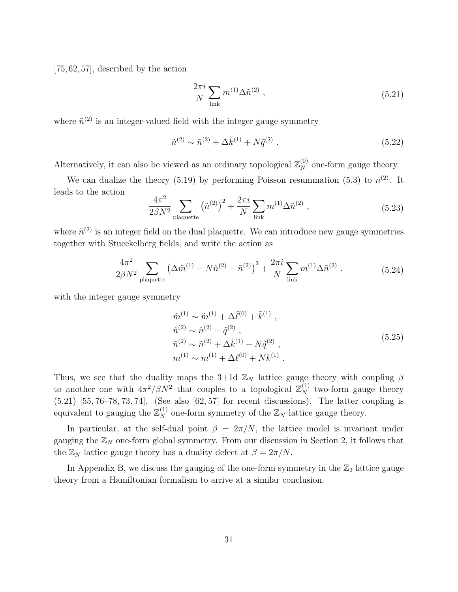[\[75,](#page-40-2) [62,](#page-39-4) [57\]](#page-39-0), described by the action

<span id="page-31-0"></span>
$$
\frac{2\pi i}{N} \sum_{\text{link}} m^{(1)} \Delta \tilde{n}^{(2)} \tag{5.21}
$$

where  $\tilde{n}^{(2)}$  is an integer-valued field with the integer gauge symmetry

$$
\tilde{n}^{(2)} \sim \tilde{n}^{(2)} + \Delta \tilde{k}^{(1)} + N \tilde{q}^{(2)} . \tag{5.22}
$$

Alternatively, it can also be viewed as an ordinary topological  $\mathbb{Z}_N^{(0)}$  one-form gauge theory.

We can dualize the theory [\(5.19\)](#page-30-2) by performing Poisson resummation [\(5.3\)](#page-24-4) to  $n^{(2)}$ . It leads to the action

$$
\frac{4\pi^2}{2\beta N^2} \sum_{\text{plaquette}} \left(\tilde{n}^{(2)}\right)^2 + \frac{2\pi i}{N} \sum_{\text{link}} m^{(1)} \Delta \tilde{n}^{(2)} ,\qquad (5.23)
$$

where  $\tilde{n}^{(2)}$  is an integer field on the dual plaquette. We can introduce new gauge symmetries together with Stueckelberg fields, and write the action as

$$
\frac{4\pi^2}{2\beta N^2} \sum_{\text{plaquette}} \left(\Delta \tilde{m}^{(1)} - N \hat{n}^{(2)} - \tilde{n}^{(2)}\right)^2 + \frac{2\pi i}{N} \sum_{\text{link}} m^{(1)} \Delta \tilde{n}^{(2)}.
$$
 (5.24)

with the integer gauge symmetry

$$
\tilde{m}^{(1)} \sim \tilde{m}^{(1)} + \Delta \tilde{\ell}^{(0)} + \tilde{k}^{(1)},
$$
\n
$$
\hat{n}^{(2)} \sim \hat{n}^{(2)} - \tilde{q}^{(2)},
$$
\n
$$
\tilde{n}^{(2)} \sim \tilde{n}^{(2)} + \Delta \tilde{k}^{(1)} + N \tilde{q}^{(2)},
$$
\n
$$
m^{(1)} \sim m^{(1)} + \Delta \ell^{(0)} + N k^{(1)}.
$$
\n(5.25)

Thus, we see that the duality maps the 3+1d  $\mathbb{Z}_N$  lattice gauge theory with coupling  $\beta$ to another one with  $4\pi^2/\beta N^2$  that couples to a topological  $\mathbb{Z}_N^{(1)}$  two-form gauge theory [\(5.21\)](#page-31-0) [\[55,](#page-38-8) [76](#page-40-3)[–78,](#page-40-4) [73,](#page-40-0) [74\]](#page-40-1). (See also [\[62,](#page-39-4) [57\]](#page-39-0) for recent discussions). The latter coupling is equivalent to gauging the  $\mathbb{Z}_N^{(1)}$  one-form symmetry of the  $\mathbb{Z}_N$  lattice gauge theory.

In particular, at the self-dual point  $\beta = 2\pi/N$ , the lattice model is invariant under gauging the  $\mathbb{Z}_N$  one-form global symmetry. From our discussion in Section [2,](#page-6-0) it follows that the  $\mathbb{Z}_N$  lattice gauge theory has a duality defect at  $\beta = 2\pi/N$ .

In Appendix [B,](#page-34-0) we discuss the gauging of the one-form symmetry in the  $\mathbb{Z}_2$  lattice gauge theory from a Hamiltonian formalism to arrive at a similar conclusion.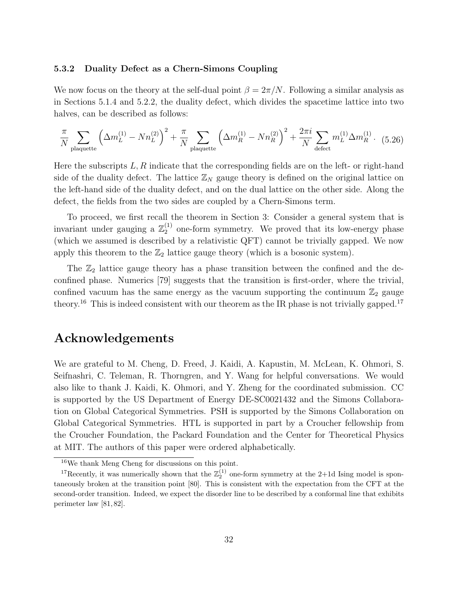#### <span id="page-32-0"></span>5.3.2 Duality Defect as a Chern-Simons Coupling

We now focus on the theory at the self-dual point  $\beta = 2\pi/N$ . Following a similar analysis as in Sections [5.1.4](#page-27-0) and [5.2.2,](#page-29-0) the duality defect, which divides the spacetime lattice into two halves, can be described as follows:

$$
\frac{\pi}{N} \sum_{\text{plaquette}} \left( \Delta m_L^{(1)} - N n_L^{(2)} \right)^2 + \frac{\pi}{N} \sum_{\text{plaquette}} \left( \Delta m_R^{(1)} - N n_R^{(2)} \right)^2 + \frac{2\pi i}{N} \sum_{\text{defect}} m_L^{(1)} \Delta m_R^{(1)}.
$$
 (5.26)

Here the subscripts  $L, R$  indicate that the corresponding fields are on the left- or right-hand side of the duality defect. The lattice  $\mathbb{Z}_N$  gauge theory is defined on the original lattice on the left-hand side of the duality defect, and on the dual lattice on the other side. Along the defect, the fields from the two sides are coupled by a Chern-Simons term.

To proceed, we first recall the theorem in Section [3:](#page-13-0) Consider a general system that is invariant under gauging a  $\mathbb{Z}_2^{(1)}$  $_2^{(1)}$  one-form symmetry. We proved that its low-energy phase (which we assumed is described by a relativistic QFT) cannot be trivially gapped. We now apply this theorem to the  $\mathbb{Z}_2$  lattice gauge theory (which is a bosonic system).

The  $\mathbb{Z}_2$  lattice gauge theory has a phase transition between the confined and the deconfined phase. Numerics [\[79\]](#page-40-5) suggests that the transition is first-order, where the trivial, confined vacuum has the same energy as the vacuum supporting the continuum  $\mathbb{Z}_2$  gauge theory.<sup>[16](#page-32-1)</sup> This is indeed consistent with our theorem as the IR phase is not trivially gapped.<sup>[17](#page-32-2)</sup>

## Acknowledgements

We are grateful to M. Cheng, D. Freed, J. Kaidi, A. Kapustin, M. McLean, K. Ohmori, S. Seifnashri, C. Teleman, R. Thorngren, and Y. Wang for helpful conversations. We would also like to thank J. Kaidi, K. Ohmori, and Y. Zheng for the coordinated submission. CC is supported by the US Department of Energy DE-SC0021432 and the Simons Collaboration on Global Categorical Symmetries. PSH is supported by the Simons Collaboration on Global Categorical Symmetries. HTL is supported in part by a Croucher fellowship from the Croucher Foundation, the Packard Foundation and the Center for Theoretical Physics at MIT. The authors of this paper were ordered alphabetically.

<span id="page-32-2"></span><span id="page-32-1"></span><sup>16</sup>We thank Meng Cheng for discussions on this point.

<sup>&</sup>lt;sup>17</sup>Recently, it was numerically shown that the  $\mathbb{Z}_2^{(1)}$  one-form symmetry at the 2+1d Ising model is spontaneously broken at the transition point [\[80\]](#page-40-6). This is consistent with the expectation from the CFT at the second-order transition. Indeed, we expect the disorder line to be described by a conformal line that exhibits perimeter law [\[81,](#page-40-7) [82\]](#page-40-8).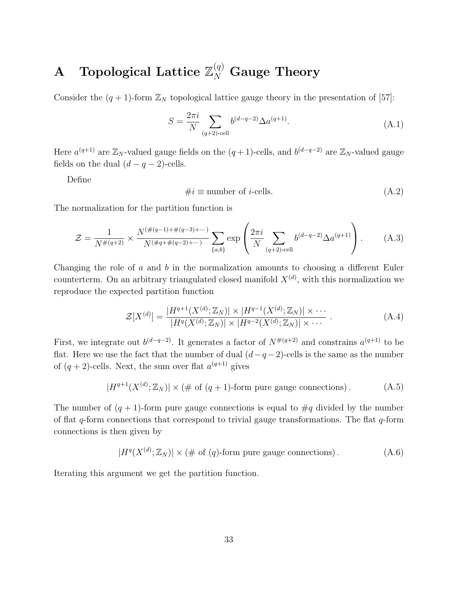# <span id="page-33-0"></span> ${\mathbf A} \quad {\rm Topological\; Lattice\; } \mathbb{Z}_N^{(q)} \; {\rm Gauge\; Theory}$

Consider the  $(q + 1)$ -form  $\mathbb{Z}_N$  topological lattice gauge theory in the presentation of [\[57\]](#page-39-0):

$$
S = \frac{2\pi i}{N} \sum_{(q+2)\text{-cell}} b^{(d-q-2)} \Delta a^{(q+1)}.
$$
 (A.1)

Here  $a^{(q+1)}$  are  $\mathbb{Z}_N$ -valued gauge fields on the  $(q+1)$ -cells, and  $b^{(d-q-2)}$  are  $\mathbb{Z}_N$ -valued gauge fields on the dual  $(d - q - 2)$ -cells.

Define

$$
\#i \equiv \text{number of } i\text{-cells.} \tag{A.2}
$$

The normalization for the partition function is

$$
\mathcal{Z} = \frac{1}{N^{\#(q+2)}} \times \frac{N^{(\#(q-1)+\#(q-3)+\cdots)}}{N^{(\#q+\#(q-2)+\cdots)}} \sum_{\{a,b\}} \exp\left(\frac{2\pi i}{N} \sum_{(q+2)\text{-cell}} b^{(d-q-2)} \Delta a^{(q+1)}\right). \tag{A.3}
$$

Changing the role of  $a$  and  $b$  in the normalization amounts to choosing a different Euler counterterm. On an arbitrary triangulated closed manifold  $X^{(d)}$ , with this normalization we reproduce the expected partition function

$$
\mathcal{Z}[X^{(d)}] = \frac{|H^{q+1}(X^{(d)}; \mathbb{Z}_N)| \times |H^{q-1}(X^{(d)}; \mathbb{Z}_N)| \times \cdots}{|H^q(X^{(d)}; \mathbb{Z}_N)| \times |H^{q-2}(X^{(d)}; \mathbb{Z}_N)| \times \cdots} \tag{A.4}
$$

First, we integrate out  $b^{(d-q-2)}$ . It generates a factor of  $N^{*(q+2)}$  and constrains  $a^{(q+1)}$  to be flat. Here we use the fact that the number of dual  $(d-q-2)$ -cells is the same as the number of  $(q+2)$ -cells. Next, the sum over flat  $a^{(q+1)}$  gives

$$
|H^{q+1}(X^{(d)}; \mathbb{Z}_N)| \times (\# \text{ of } (q+1)\text{-form pure gauge connections}). \tag{A.5}
$$

The number of  $(q + 1)$ -form pure gauge connections is equal to  $\#q$  divided by the number of flat q-form connections that correspond to trivial gauge transformations. The flat  $q$ -form connections is then given by

$$
|H^q(X^{(d)}; \mathbb{Z}_N)| \times (\# \text{ of } (q)\text{-form pure gauge connections}). \tag{A.6}
$$

Iterating this argument we get the partition function.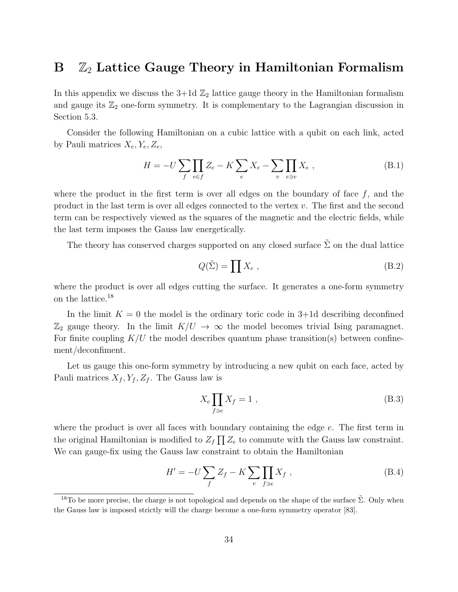## <span id="page-34-0"></span> $B \nightharpoonup \mathbb{Z}_2$  Lattice Gauge Theory in Hamiltonian Formalism

In this appendix we discuss the  $3+1d\mathbb{Z}_2$  lattice gauge theory in the Hamiltonian formalism and gauge its  $\mathbb{Z}_2$  one-form symmetry. It is complementary to the Lagrangian discussion in Section [5.3.](#page-30-0)

Consider the following Hamiltonian on a cubic lattice with a qubit on each link, acted by Pauli matrices  $X_e, Y_e, Z_e$ ,

$$
H = -U \sum_{f} \prod_{e \in f} Z_e - K \sum_{e} X_e - \sum_{v} \prod_{e \ni v} X_e , \qquad (B.1)
$$

where the product in the first term is over all edges on the boundary of face  $f$ , and the product in the last term is over all edges connected to the vertex  $v$ . The first and the second term can be respectively viewed as the squares of the magnetic and the electric fields, while the last term imposes the Gauss law energetically.

The theory has conserved charges supported on any closed surface  $\tilde{\Sigma}$  on the dual lattice

$$
Q(\tilde{\Sigma}) = \prod X_e , \qquad (B.2)
$$

where the product is over all edges cutting the surface. It generates a one-form symmetry on the lattice.[18](#page-34-1)

In the limit  $K = 0$  the model is the ordinary toric code in 3+1d describing deconfined  $\mathbb{Z}_2$  gauge theory. In the limit  $K/U \to \infty$  the model becomes trivial Ising paramagnet. For finite coupling  $K/U$  the model describes quantum phase transition(s) between confinement/deconfiment.

Let us gauge this one-form symmetry by introducing a new qubit on each face, acted by Pauli matrices  $X_f, Y_f, Z_f$ . The Gauss law is

$$
X_e \prod_{f \ni e} X_f = 1 \tag{B.3}
$$

where the product is over all faces with boundary containing the edge  $e$ . The first term in the original Hamiltonian is modified to  $Z_f \prod Z_e$  to commute with the Gauss law constraint. We can gauge-fix using the Gauss law constraint to obtain the Hamiltonian

$$
H' = -U\sum_{f} Z_{f} - K\sum_{e} \prod_{f \ni e} X_{f} , \qquad (B.4)
$$

<span id="page-34-1"></span><sup>&</sup>lt;sup>18</sup>To be more precise, the charge is not topological and depends on the shape of the surface  $\Sigma$ . Only when the Gauss law is imposed strictly will the charge become a one-form symmetry operator [\[83\]](#page-40-9).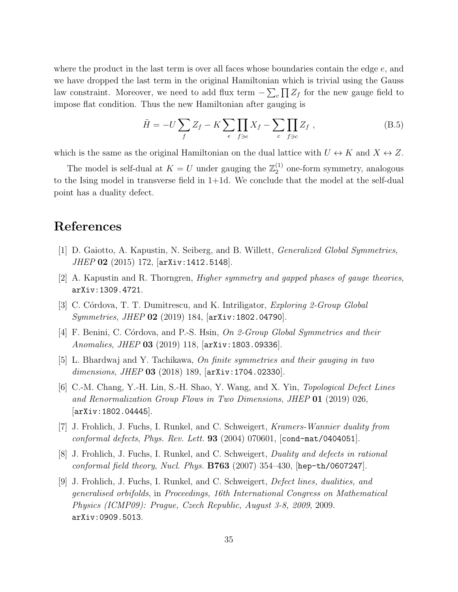where the product in the last term is over all faces whose boundaries contain the edge  $e$ , and we have dropped the last term in the original Hamiltonian which is trivial using the Gauss law constraint. Moreover, we need to add flux term  $-\sum_{c} \prod Z_{f}$  for the new gauge field to impose flat condition. Thus the new Hamiltonian after gauging is

$$
\tilde{H} = -U \sum_{f} Z_{f} - K \sum_{e} \prod_{f \ni e} X_{f} - \sum_{c} \prod_{f \ni e} Z_{f} , \qquad (B.5)
$$

which is the same as the original Hamiltonian on the dual lattice with  $U \leftrightarrow K$  and  $X \leftrightarrow Z$ .

The model is self-dual at  $K = U$  under gauging the  $\mathbb{Z}_2^{(1)}$  $_2^{(1)}$  one-form symmetry, analogous to the Ising model in transverse field in  $1+1d$ . We conclude that the model at the self-dual point has a duality defect.

## References

- <span id="page-35-0"></span>[1] D. Gaiotto, A. Kapustin, N. Seiberg, and B. Willett, Generalized Global Symmetries, JHEP 02 (2015) 172, [[arXiv:1412.5148](http://arxiv.org/abs/1412.5148)].
- <span id="page-35-1"></span> $|2|$  A. Kapustin and R. Thorngren, *Higher symmetry and gapped phases of gauge theories*, [arXiv:1309.4721](http://arxiv.org/abs/1309.4721).
- [3] C. Córdova, T. T. Dumitrescu, and K. Intriligator, *Exploring 2-Group Global Symmetries, JHEP* 02 (2019) 184,  $\text{arXiv:1802.04790}$  $\text{arXiv:1802.04790}$  $\text{arXiv:1802.04790}$ .
- <span id="page-35-2"></span>[4] F. Benini, C. Córdova, and P.-S. Hsin, On 2-Group Global Symmetries and their Anomalies, JHEP 03 (2019) 118, [[arXiv:1803.09336](http://arxiv.org/abs/1803.09336)].
- <span id="page-35-3"></span>[5] L. Bhardwaj and Y. Tachikawa, On finite symmetries and their gauging in two dimensions, JHEP 03 (2018) 189, [[arXiv:1704.02330](http://arxiv.org/abs/1704.02330)].
- <span id="page-35-4"></span>[6] C.-M. Chang, Y.-H. Lin, S.-H. Shao, Y. Wang, and X. Yin, Topological Defect Lines and Renormalization Group Flows in Two Dimensions, JHEP 01 (2019) 026,  $|arXiv:1802.04445|$  $|arXiv:1802.04445|$  $|arXiv:1802.04445|$ .
- <span id="page-35-5"></span>[7] J. Frohlich, J. Fuchs, I. Runkel, and C. Schweigert, Kramers-Wannier duality from conformal defects, Phys. Rev. Lett.  $93$  (2004) 070601, [[cond-mat/0404051](http://arxiv.org/abs/cond-mat/0404051)].
- [8] J. Frohlich, J. Fuchs, I. Runkel, and C. Schweigert, Duality and defects in rational conformal field theory, Nucl. Phys.  $B763$  (2007) 354–430, [[hep-th/0607247](http://arxiv.org/abs/hep-th/0607247)].
- <span id="page-35-6"></span>[9] J. Frohlich, J. Fuchs, I. Runkel, and C. Schweigert, Defect lines, dualities, and generalised orbifolds, in Proceedings, 16th International Congress on Mathematical Physics (ICMP09): Prague, Czech Republic, August 3-8, 2009, 2009. [arXiv:0909.5013](http://arxiv.org/abs/0909.5013).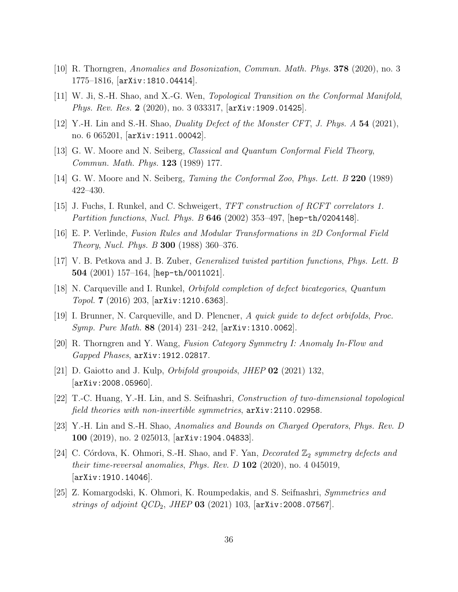- <span id="page-36-0"></span>[10] R. Thorngren, Anomalies and Bosonization, Commun. Math. Phys. 378 (2020), no. 3 1775–1816, [[arXiv:1810.04414](http://arxiv.org/abs/1810.04414)].
- <span id="page-36-13"></span>[11] W. Ji, S.-H. Shao, and X.-G. Wen, Topological Transition on the Conformal Manifold, Phys. Rev. Res. 2 (2020), no. 3 033317, [[arXiv:1909.01425](http://arxiv.org/abs/1909.01425)].
- <span id="page-36-1"></span>[12] Y.-H. Lin and S.-H. Shao, *Duality Defect of the Monster CFT*, *J. Phys. A* 54 (2021), no. 6 065201, [[arXiv:1911.00042](http://arxiv.org/abs/1911.00042)].
- <span id="page-36-2"></span>[13] G. W. Moore and N. Seiberg, Classical and Quantum Conformal Field Theory, Commun. Math. Phys. 123 (1989) 177.
- [14] G. W. Moore and N. Seiberg, Taming the Conformal Zoo, Phys. Lett. B 220 (1989) 422–430.
- <span id="page-36-3"></span>[15] J. Fuchs, I. Runkel, and C. Schweigert, TFT construction of RCFT correlators 1. Partition functions, Nucl. Phys. B 646 (2002) 353–497, [[hep-th/0204148](http://arxiv.org/abs/hep-th/0204148)].
- <span id="page-36-4"></span>[16] E. P. Verlinde, Fusion Rules and Modular Transformations in 2D Conformal Field Theory, Nucl. Phys. B 300 (1988) 360–376.
- <span id="page-36-5"></span>[17] V. B. Petkova and J. B. Zuber, Generalized twisted partition functions, Phys. Lett. B  $504$  (2001) 157-164, [[hep-th/0011021](http://arxiv.org/abs/hep-th/0011021)].
- <span id="page-36-6"></span>[18] N. Carqueville and I. Runkel, Orbifold completion of defect bicategories, Quantum Topol. 7  $(2016)$  203,  $[arXiv:1210.6363]$  $[arXiv:1210.6363]$  $[arXiv:1210.6363]$ .
- <span id="page-36-7"></span>[19] I. Brunner, N. Carqueville, and D. Plencner, A quick guide to defect orbifolds, Proc. Symp. Pure Math. 88 (2014) 231–242, [[arXiv:1310.0062](http://arxiv.org/abs/1310.0062)].
- <span id="page-36-8"></span>[20] R. Thorngren and Y. Wang, Fusion Category Symmetry I: Anomaly In-Flow and Gapped Phases, [arXiv:1912.02817](http://arxiv.org/abs/1912.02817).
- [21] D. Gaiotto and J. Kulp, *Orbifold groupoids*, *JHEP* **02** (2021) 132, [[arXiv:2008.05960](http://arxiv.org/abs/2008.05960)].
- <span id="page-36-9"></span>[22] T.-C. Huang, Y.-H. Lin, and S. Seifnashri, Construction of two-dimensional topological field theories with non-invertible symmetries,  $arXiv:2110.02958$ .
- <span id="page-36-10"></span>[23] Y.-H. Lin and S.-H. Shao, Anomalies and Bounds on Charged Operators, Phys. Rev. D 100 (2019), no. 2 025013, [[arXiv:1904.04833](http://arxiv.org/abs/1904.04833)].
- <span id="page-36-11"></span>[24] C. Córdova, K. Ohmori, S.-H. Shao, and F. Yan, *Decorated*  $\mathbb{Z}_2$  symmetry defects and their time-reversal anomalies, Phys. Rev.  $D$  102 (2020), no. 4 045019, [[arXiv:1910.14046](http://arxiv.org/abs/1910.14046)].
- <span id="page-36-12"></span>[25] Z. Komargodski, K. Ohmori, K. Roumpedakis, and S. Seifnashri, Symmetries and strings of adjoint  $QCD_2$ , JHEP 03 (2021) 103,  $[\text{arXiv:2008.07567}]$  $[\text{arXiv:2008.07567}]$  $[\text{arXiv:2008.07567}]$ .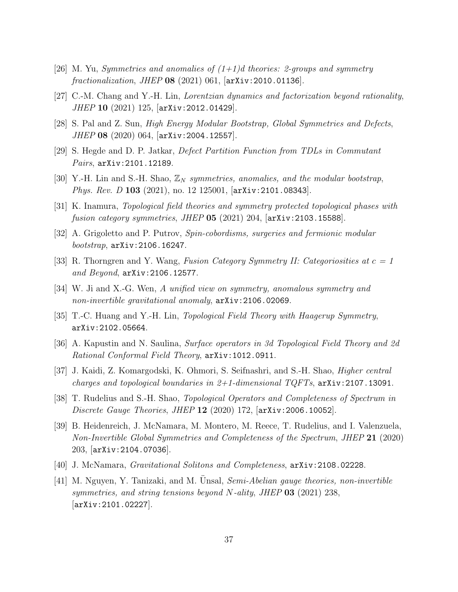- [26] M. Yu, Symmetries and anomalies of  $(1+1)d$  theories: 2-groups and symmetry  $fractionalization, JHEP$  08 (2021) 061,  $[\text{arXiv:}2010.01136]$ .
- [27] C.-M. Chang and Y.-H. Lin, Lorentzian dynamics and factorization beyond rationality, JHEP 10 (2021) 125, [[arXiv:2012.01429](http://arxiv.org/abs/2012.01429)].
- [28] S. Pal and Z. Sun, High Energy Modular Bootstrap, Global Symmetries and Defects, JHEP 08 (2020) 064, [[arXiv:2004.12557](http://arxiv.org/abs/2004.12557)].
- [29] S. Hegde and D. P. Jatkar, Defect Partition Function from TDLs in Commutant Pairs, [arXiv:2101.12189](http://arxiv.org/abs/2101.12189).
- [30] Y.-H. Lin and S.-H. Shao,  $\mathbb{Z}_N$  symmetries, anomalies, and the modular bootstrap, Phys. Rev. D 103 (2021), no. 12 125001,  $\vert$ [arXiv:2101.08343](http://arxiv.org/abs/2101.08343).
- [31] K. Inamura, Topological field theories and symmetry protected topological phases with fusion category symmetries, JHEP  $05$  (2021) 204,  $[\text{arXiv:}2103.15588]$ .
- [32] A. Grigoletto and P. Putrov, Spin-cobordisms, surgeries and fermionic modular bootstrap, [arXiv:2106.16247](http://arxiv.org/abs/2106.16247).
- <span id="page-37-6"></span>[33] R. Thorngren and Y. Wang, Fusion Category Symmetry II: Categoriosities at  $c = 1$ and Beyond, [arXiv:2106.12577](http://arxiv.org/abs/2106.12577).
- [34] W. Ji and X.-G. Wen, A unified view on symmetry, anomalous symmetry and non-invertible gravitational anomaly, [arXiv:2106.02069](http://arxiv.org/abs/2106.02069).
- <span id="page-37-0"></span>[35] T.-C. Huang and Y.-H. Lin, *Topological Field Theory with Haagerup Symmetry*, [arXiv:2102.05664](http://arxiv.org/abs/2102.05664).
- <span id="page-37-1"></span>[36] A. Kapustin and N. Saulina, Surface operators in 3d Topological Field Theory and 2d Rational Conformal Field Theory, [arXiv:1012.0911](http://arxiv.org/abs/1012.0911).
- <span id="page-37-2"></span>[37] J. Kaidi, Z. Komargodski, K. Ohmori, S. Seifnashri, and S.-H. Shao, Higher central charges and topological boundaries in  $2+1$ -dimensional TQFTs,  $arXiv:2107.13091$ .
- <span id="page-37-3"></span>[38] T. Rudelius and S.-H. Shao, *Topological Operators and Completeness of Spectrum in* Discrete Gauge Theories, JHEP 12 (2020) 172, [[arXiv:2006.10052](http://arxiv.org/abs/2006.10052)].
- [39] B. Heidenreich, J. McNamara, M. Montero, M. Reece, T. Rudelius, and I. Valenzuela, Non-Invertible Global Symmetries and Completeness of the Spectrum, JHEP 21 (2020) 203, [[arXiv:2104.07036](http://arxiv.org/abs/2104.07036)].
- <span id="page-37-4"></span>[40] J. McNamara, Gravitational Solitons and Completeness, [arXiv:2108.02228](http://arxiv.org/abs/2108.02228).
- <span id="page-37-5"></span>[41] M. Nguyen, Y. Tanizaki, and M. Unsal, Semi-Abelian gauge theories, non-invertible symmetries, and string tensions beyond N-ality, JHEP  $03$  (2021) 238, [[arXiv:2101.02227](http://arxiv.org/abs/2101.02227)].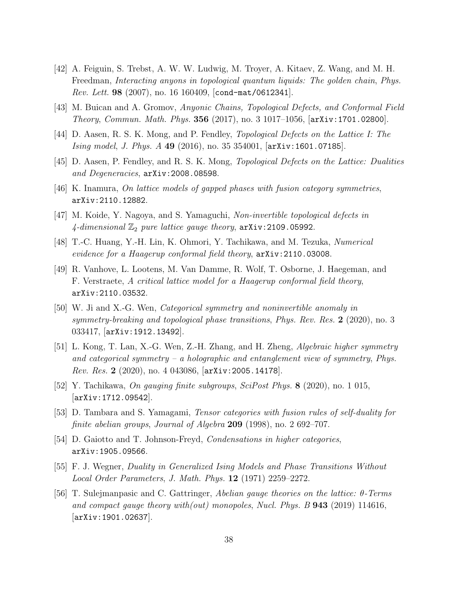- <span id="page-38-0"></span>[42] A. Feiguin, S. Trebst, A. W. W. Ludwig, M. Troyer, A. Kitaev, Z. Wang, and M. H. Freedman, Interacting anyons in topological quantum liquids: The golden chain, Phys. *Rev. Lett.* 98 (2007), no. 16 160409,  $\text{cond-mat}/0612341$ .
- [43] M. Buican and A. Gromov, Anyonic Chains, Topological Defects, and Conformal Field Theory, Commun. Math. Phys. 356 (2017), no. 3 1017–1056, [[arXiv:1701.02800](http://arxiv.org/abs/1701.02800)].
- <span id="page-38-7"></span>[44] D. Aasen, R. S. K. Mong, and P. Fendley, Topological Defects on the Lattice I: The Ising model, J. Phys. A 49 (2016), no. 35 354001, [[arXiv:1601.07185](http://arxiv.org/abs/1601.07185)].
- [45] D. Aasen, P. Fendley, and R. S. K. Mong, Topological Defects on the Lattice: Dualities and Degeneracies, [arXiv:2008.08598](http://arxiv.org/abs/2008.08598).
- [46] K. Inamura, On lattice models of gapped phases with fusion category symmetries, [arXiv:2110.12882](http://arxiv.org/abs/2110.12882).
- <span id="page-38-6"></span>[47] M. Koide, Y. Nagoya, and S. Yamaguchi, Non-invertible topological defects in 4-dimensional  $\mathbb{Z}_2$  pure lattice gauge theory,  $arXiv:2109.05992$ .
- [48] T.-C. Huang, Y.-H. Lin, K. Ohmori, Y. Tachikawa, and M. Tezuka, Numerical evidence for a Haagerup conformal field theory, [arXiv:2110.03008](http://arxiv.org/abs/2110.03008).
- <span id="page-38-1"></span>[49] R. Vanhove, L. Lootens, M. Van Damme, R. Wolf, T. Osborne, J. Haegeman, and F. Verstraete, A critical lattice model for a Haagerup conformal field theory, [arXiv:2110.03532](http://arxiv.org/abs/2110.03532).
- <span id="page-38-2"></span>[50] W. Ji and X.-G. Wen, Categorical symmetry and noninvertible anomaly in symmetry-breaking and topological phase transitions, Phys. Rev. Res. 2 (2020), no. 3 033417, [[arXiv:1912.13492](http://arxiv.org/abs/1912.13492)].
- <span id="page-38-3"></span>[51] L. Kong, T. Lan, X.-G. Wen, Z.-H. Zhang, and H. Zheng, Algebraic higher symmetry and categorical symmetry – a holographic and entanglement view of symmetry, Phys. Rev. Res. 2 (2020), no. 4 043086, [[arXiv:2005.14178](http://arxiv.org/abs/2005.14178)].
- <span id="page-38-4"></span>[52] Y. Tachikawa, On gauging finite subgroups, SciPost Phys. 8 (2020), no. 1 015,  $|arXiv:1712.09542|$  $|arXiv:1712.09542|$  $|arXiv:1712.09542|$ .
- <span id="page-38-9"></span>[53] D. Tambara and S. Yamagami, Tensor categories with fusion rules of self-duality for finite abelian groups, Journal of Algebra 209 (1998), no. 2 692–707.
- <span id="page-38-5"></span>[54] D. Gaiotto and T. Johnson-Freyd, Condensations in higher categories, [arXiv:1905.09566](http://arxiv.org/abs/1905.09566).
- <span id="page-38-8"></span>[55] F. J. Wegner, Duality in Generalized Ising Models and Phase Transitions Without Local Order Parameters, J. Math. Phys. 12 (1971) 2259–2272.
- <span id="page-38-10"></span>[56] T. Sulejmanpasic and C. Gattringer, Abelian gauge theories on the lattice: θ-Terms and compact gauge theory with(out) monopoles, Nucl. Phys. B 943 (2019) 114616, [[arXiv:1901.02637](http://arxiv.org/abs/1901.02637)].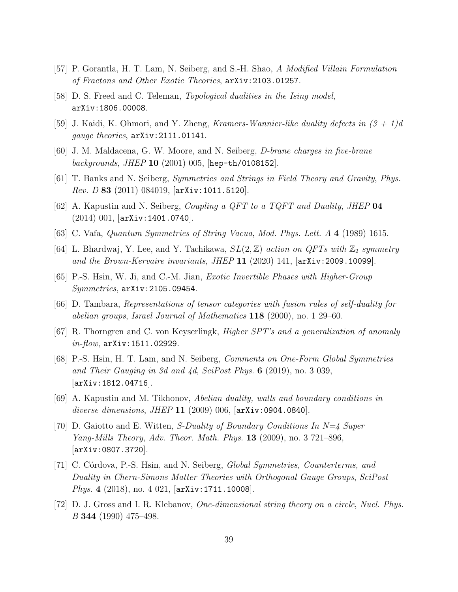- <span id="page-39-0"></span>[57] P. Gorantla, H. T. Lam, N. Seiberg, and S.-H. Shao, A Modified Villain Formulation of Fractons and Other Exotic Theories, [arXiv:2103.01257](http://arxiv.org/abs/2103.01257).
- <span id="page-39-1"></span>[58] D. S. Freed and C. Teleman, Topological dualities in the Ising model, [arXiv:1806.00008](http://arxiv.org/abs/1806.00008).
- <span id="page-39-2"></span>[59] J. Kaidi, K. Ohmori, and Y. Zheng, Kramers-Wannier-like duality defects in  $(3 + 1)d$ gauge theories, [arXiv:2111.01141](http://arxiv.org/abs/2111.01141).
- <span id="page-39-3"></span>[60] J. M. Maldacena, G. W. Moore, and N. Seiberg, D-brane charges in five-brane backgrounds, JHEP 10  $(2001)$  005, [[hep-th/0108152](http://arxiv.org/abs/hep-th/0108152)].
- [61] T. Banks and N. Seiberg, Symmetries and Strings in Field Theory and Gravity, Phys. *Rev. D* 83 (2011) 084019,  $\vert$ [arXiv:1011.5120](http://arxiv.org/abs/1011.5120).
- <span id="page-39-4"></span>[62] A. Kapustin and N. Seiberg, Coupling a QFT to a TQFT and Duality, JHEP 04 (2014) 001, [[arXiv:1401.0740](http://arxiv.org/abs/1401.0740)].
- <span id="page-39-5"></span>[63] C. Vafa, Quantum Symmetries of String Vacua, Mod. Phys. Lett. A 4 (1989) 1615.
- <span id="page-39-6"></span>[64] L. Bhardwaj, Y. Lee, and Y. Tachikawa,  $SL(2, \mathbb{Z})$  action on QFTs with  $\mathbb{Z}_2$  symmetry and the Brown-Kervaire invariants, JHEP  $11$  (2020) 141,  $\vert$ arXiv: 2009.10099.
- <span id="page-39-7"></span>[65] P.-S. Hsin, W. Ji, and C.-M. Jian, Exotic Invertible Phases with Higher-Group Symmetries, [arXiv:2105.09454](http://arxiv.org/abs/2105.09454).
- <span id="page-39-8"></span>[66] D. Tambara, Representations of tensor categories with fusion rules of self-duality for abelian groups, Israel Journal of Mathematics 118 (2000), no. 1 29–60.
- <span id="page-39-9"></span>[67] R. Thorngren and C. von Keyserlingk, Higher SPT's and a generalization of anomaly  $in-flow$ ,  $arXiv:1511.02929$ .
- <span id="page-39-10"></span>[68] P.-S. Hsin, H. T. Lam, and N. Seiberg, Comments on One-Form Global Symmetries and Their Gauging in 3d and  $4d$ , SciPost Phys. 6 (2019), no. 3 039, [[arXiv:1812.04716](http://arxiv.org/abs/1812.04716)].
- <span id="page-39-11"></span>[69] A. Kapustin and M. Tikhonov, Abelian duality, walls and boundary conditions in diverse dimensions, JHEP 11  $(2009)$  006,  $[$ [arXiv:0904.0840](http://arxiv.org/abs/0904.0840) $]$ .
- <span id="page-39-12"></span>[70] D. Gaiotto and E. Witten, *S-Duality of Boundary Conditions In*  $N=4$  *Super* Yang-Mills Theory, Adv. Theor. Math. Phys. 13 (2009), no. 3 721–896, [[arXiv:0807.3720](http://arxiv.org/abs/0807.3720)].
- <span id="page-39-13"></span>[71] C. Córdova, P.-S. Hsin, and N. Seiberg, *Global Symmetries, Counterterms, and* Duality in Chern-Simons Matter Theories with Orthogonal Gauge Groups, SciPost Phys. 4 (2018), no. 4 021, [[arXiv:1711.10008](http://arxiv.org/abs/1711.10008)].
- <span id="page-39-14"></span>[72] D. J. Gross and I. R. Klebanov, One-dimensional string theory on a circle, Nucl. Phys. B 344 (1990) 475–498.